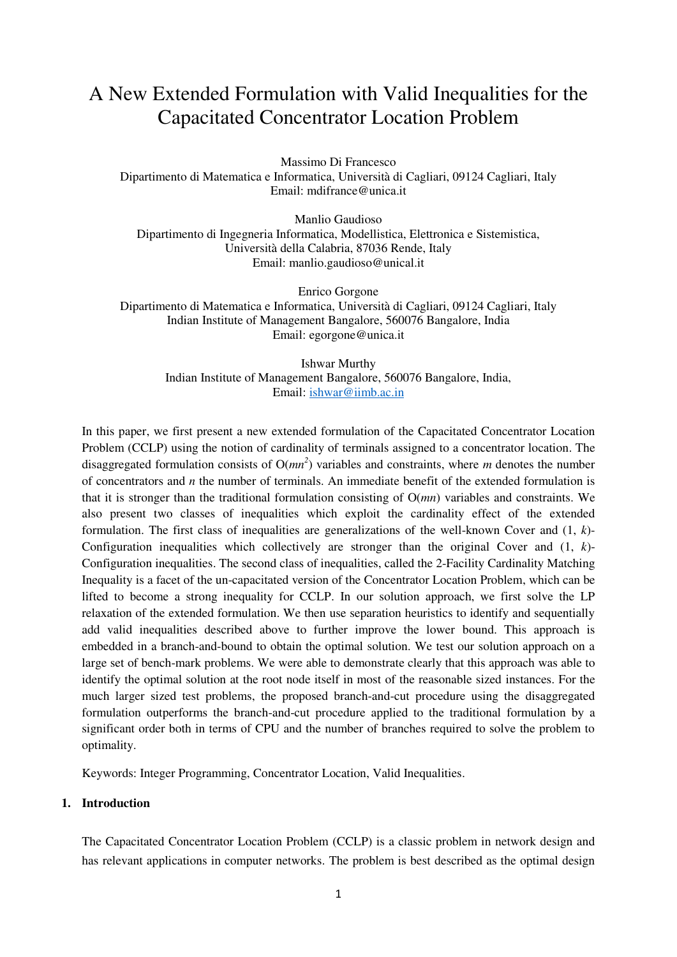# A New Extended Formulation with Valid Inequalities for the Capacitated Concentrator Location Problem

Massimo Di Francesco Dipartimento di Matematica e Informatica, Università di Cagliari, 09124 Cagliari, Italy Email: mdifrance@unica.it

Manlio Gaudioso Dipartimento di Ingegneria Informatica, Modellistica, Elettronica e Sistemistica, Università della Calabria, 87036 Rende, Italy Email: manlio.gaudioso@unical.it

Enrico Gorgone Dipartimento di Matematica e Informatica, Università di Cagliari, 09124 Cagliari, Italy Indian Institute of Management Bangalore, 560076 Bangalore, India Email: egorgone@unica.it

> Ishwar Murthy Indian Institute of Management Bangalore, 560076 Bangalore, India, Email: [ishwar@iimb.ac.in](mailto:ishwar@iimb.ac.in)

In this paper, we first present a new extended formulation of the Capacitated Concentrator Location Problem (CCLP) using the notion of cardinality of terminals assigned to a concentrator location. The disaggregated formulation consists of  $O(mn^2)$  variables and constraints, where *m* denotes the number of concentrators and *n* the number of terminals. An immediate benefit of the extended formulation is that it is stronger than the traditional formulation consisting of O(*mn*) variables and constraints. We also present two classes of inequalities which exploit the cardinality effect of the extended formulation. The first class of inequalities are generalizations of the well-known Cover and (1, *k*)- Configuration inequalities which collectively are stronger than the original Cover and (1, *k*)- Configuration inequalities. The second class of inequalities, called the 2-Facility Cardinality Matching Inequality is a facet of the un-capacitated version of the Concentrator Location Problem, which can be lifted to become a strong inequality for CCLP. In our solution approach, we first solve the LP relaxation of the extended formulation. We then use separation heuristics to identify and sequentially add valid inequalities described above to further improve the lower bound. This approach is embedded in a branch-and-bound to obtain the optimal solution. We test our solution approach on a large set of bench-mark problems. We were able to demonstrate clearly that this approach was able to identify the optimal solution at the root node itself in most of the reasonable sized instances. For the much larger sized test problems, the proposed branch-and-cut procedure using the disaggregated formulation outperforms the branch-and-cut procedure applied to the traditional formulation by a significant order both in terms of CPU and the number of branches required to solve the problem to optimality.

Keywords: Integer Programming, Concentrator Location, Valid Inequalities.

# **1. Introduction**

The Capacitated Concentrator Location Problem (CCLP) is a classic problem in network design and has relevant applications in computer networks. The problem is best described as the optimal design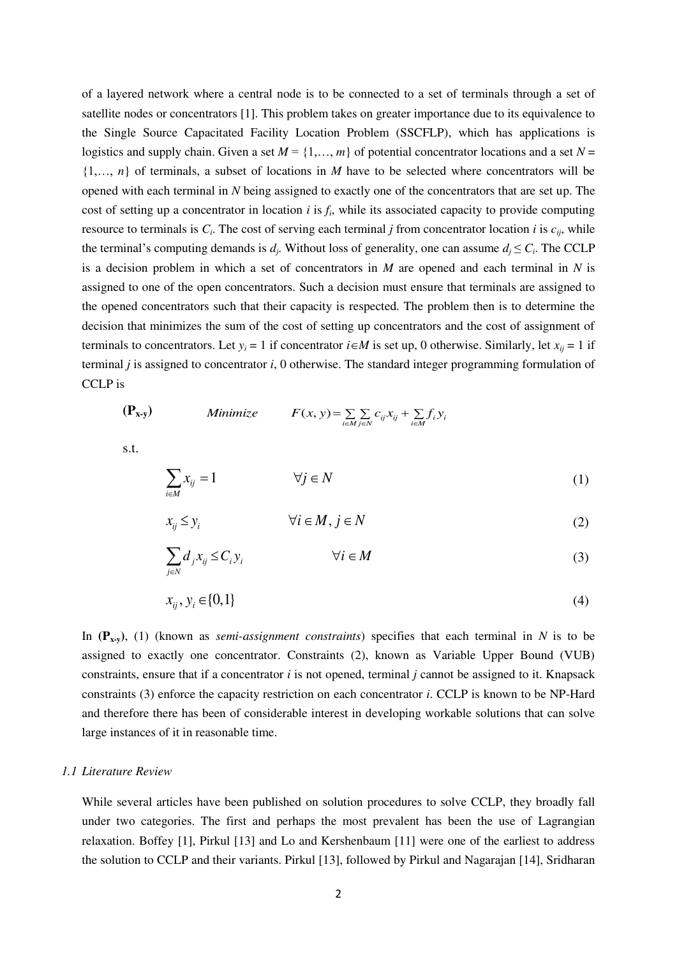of a layered network where a central node is to be connected to a set of terminals through a set of satellite nodes or concentrators [1]. This problem takes on greater importance due to its equivalence to the Single Source Capacitated Facility Location Problem (SSCFLP), which has applications is logistics and supply chain. Given a set  $M = \{1, \ldots, m\}$  of potential concentrator locations and a set  $N =$ {1,…, *n*} of terminals, a subset of locations in *M* have to be selected where concentrators will be opened with each terminal in *N* being assigned to exactly one of the concentrators that are set up. The cost of setting up a concentrator in location  $i$  is  $f_i$ , while its associated capacity to provide computing resource to terminals is  $C_i$ . The cost of serving each terminal *j* from concentrator location *i* is  $c_{ij}$ , while the terminal's computing demands is  $d_j$ . Without loss of generality, one can assume  $d_j \leq C_i$ . The CCLP is a decision problem in which a set of concentrators in *M* are opened and each terminal in *N* is assigned to one of the open concentrators. Such a decision must ensure that terminals are assigned to the opened concentrators such that their capacity is respected. The problem then is to determine the decision that minimizes the sum of the cost of setting up concentrators and the cost of assignment of terminals to concentrators. Let  $y_i = 1$  if concentrator  $i \in M$  is set up, 0 otherwise. Similarly, let  $x_{ij} = 1$  if terminal *j* is assigned to concentrator *i*, 0 otherwise. The standard integer programming formulation of CCLP is

$$
(\mathbf{P}_{\mathbf{x}\cdot\mathbf{y}}) \qquad Minimize \qquad F(x, y) = \sum_{i \in M} \sum_{j \in N} c_{ij} x_{ij} + \sum_{i \in M} f_i y_i
$$

s.t.

$$
\sum_{i \in M} x_{ij} = 1 \qquad \qquad \forall j \in N \tag{1}
$$

$$
x_{ij} \le y_i \qquad \qquad \forall i \in M, j \in N \tag{2}
$$

$$
\sum_{j \in N} d_j x_{ij} \leq C_i y_i \qquad \forall i \in M \tag{3}
$$

$$
x_{ij}, y_i \in \{0,1\} \tag{4}
$$

In  $(P_{x,y})$ , (1) (known as *semi-assignment constraints*) specifies that each terminal in *N* is to be assigned to exactly one concentrator. Constraints (2), known as Variable Upper Bound (VUB) constraints, ensure that if a concentrator *i* is not opened, terminal *j* cannot be assigned to it. Knapsack constraints (3) enforce the capacity restriction on each concentrator *i*. CCLP is known to be NP-Hard and therefore there has been of considerable interest in developing workable solutions that can solve large instances of it in reasonable time.

### *1.1 Literature Review*

While several articles have been published on solution procedures to solve CCLP, they broadly fall under two categories. The first and perhaps the most prevalent has been the use of Lagrangian relaxation. Boffey [1], Pirkul [13] and Lo and Kershenbaum [11] were one of the earliest to address the solution to CCLP and their variants. Pirkul [13], followed by Pirkul and Nagarajan [14], Sridharan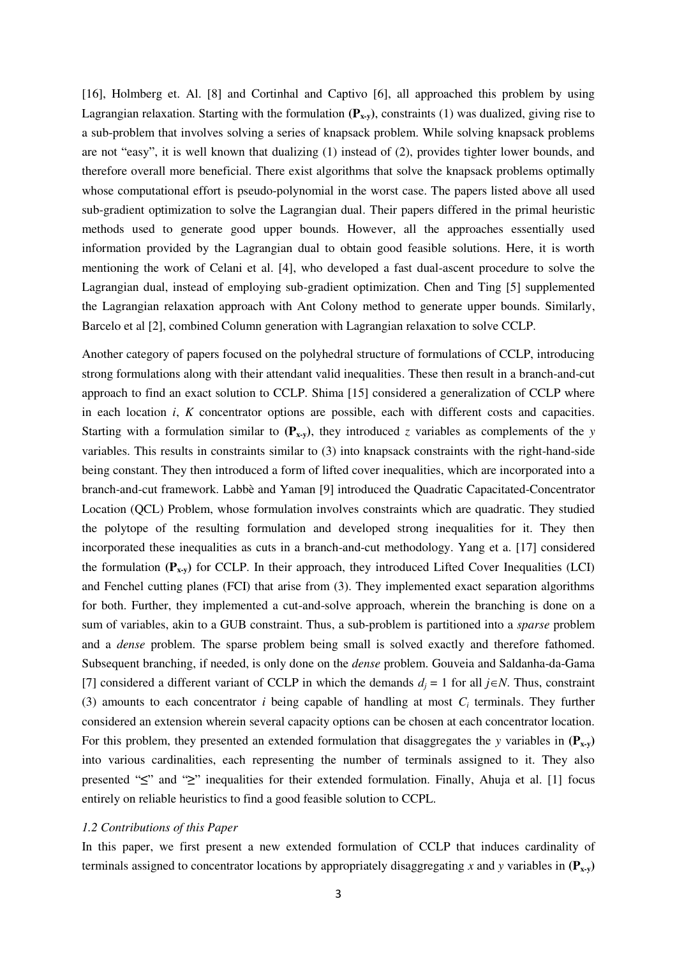[16], Holmberg et. Al. [8] and Cortinhal and Captivo [6], all approached this problem by using Lagrangian relaxation. Starting with the formulation  $(P_{x-y})$ , constraints (1) was dualized, giving rise to a sub-problem that involves solving a series of knapsack problem. While solving knapsack problems are not "easy", it is well known that dualizing (1) instead of (2), provides tighter lower bounds, and therefore overall more beneficial. There exist algorithms that solve the knapsack problems optimally whose computational effort is pseudo-polynomial in the worst case. The papers listed above all used sub-gradient optimization to solve the Lagrangian dual. Their papers differed in the primal heuristic methods used to generate good upper bounds. However, all the approaches essentially used information provided by the Lagrangian dual to obtain good feasible solutions. Here, it is worth mentioning the work of Celani et al. [4], who developed a fast dual-ascent procedure to solve the Lagrangian dual, instead of employing sub-gradient optimization. Chen and Ting [5] supplemented the Lagrangian relaxation approach with Ant Colony method to generate upper bounds. Similarly, Barcelo et al [2], combined Column generation with Lagrangian relaxation to solve CCLP.

Another category of papers focused on the polyhedral structure of formulations of CCLP, introducing strong formulations along with their attendant valid inequalities. These then result in a branch-and-cut approach to find an exact solution to CCLP. Shima [15] considered a generalization of CCLP where in each location *i*, *K* concentrator options are possible, each with different costs and capacities. Starting with a formulation similar to  $(P_{x,y})$ , they introduced *z* variables as complements of the *y* variables. This results in constraints similar to (3) into knapsack constraints with the right-hand-side being constant. They then introduced a form of lifted cover inequalities, which are incorporated into a branch-and-cut framework. Labbè and Yaman [9] introduced the Quadratic Capacitated-Concentrator Location (QCL) Problem, whose formulation involves constraints which are quadratic. They studied the polytope of the resulting formulation and developed strong inequalities for it. They then incorporated these inequalities as cuts in a branch-and-cut methodology. Yang et a. [17] considered the formulation  $(P_{x,y})$  for CCLP. In their approach, they introduced Lifted Cover Inequalities (LCI) and Fenchel cutting planes (FCI) that arise from (3). They implemented exact separation algorithms for both. Further, they implemented a cut-and-solve approach, wherein the branching is done on a sum of variables, akin to a GUB constraint. Thus, a sub-problem is partitioned into a *sparse* problem and a *dense* problem. The sparse problem being small is solved exactly and therefore fathomed. Subsequent branching, if needed, is only done on the *dense* problem. Gouveia and Saldanha-da-Gama [7] considered a different variant of CCLP in which the demands  $d_j = 1$  for all  $j \in N$ . Thus, constraint (3) amounts to each concentrator  $i$  being capable of handling at most  $C_i$  terminals. They further considered an extension wherein several capacity options can be chosen at each concentrator location. For this problem, they presented an extended formulation that disaggregates the *y* variables in  $(\mathbf{P}_{\mathbf{x} \cdot \mathbf{v}})$ into various cardinalities, each representing the number of terminals assigned to it. They also presented "**≤**" and "**≥**" inequalities for their extended formulation. Finally, Ahuja et al. [1] focus entirely on reliable heuristics to find a good feasible solution to CCPL.

## *1.2 Contributions of this Paper*

In this paper, we first present a new extended formulation of CCLP that induces cardinality of terminals assigned to concentrator locations by appropriately disaggregating *x* and *y* variables in  $(\mathbf{P}_{\mathbf{x} \cdot \mathbf{y}})$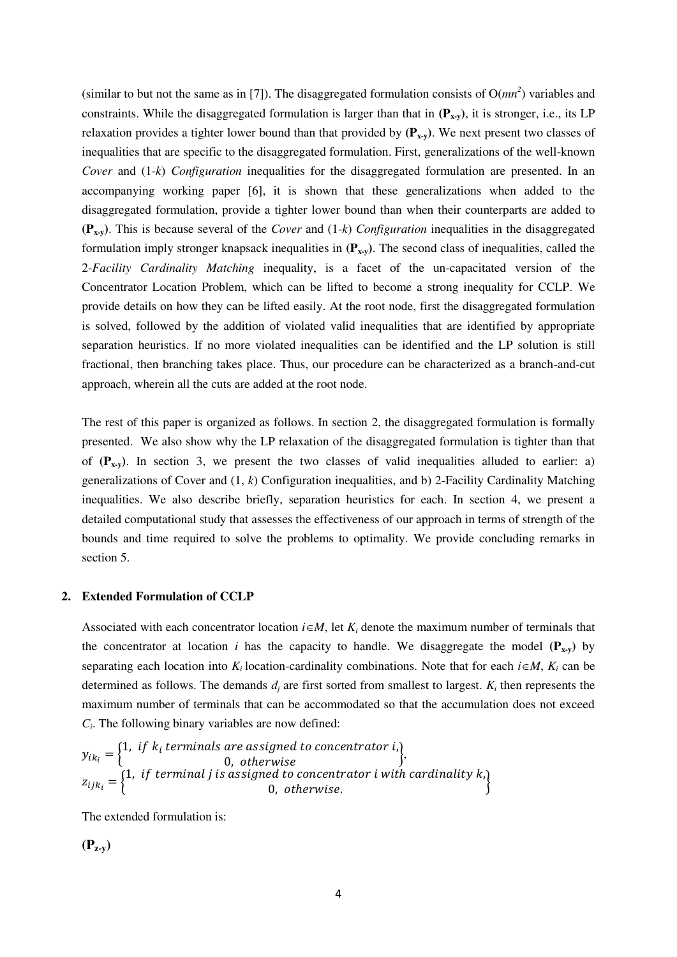(similar to but not the same as in [7]). The disaggregated formulation consists of  $O(mn^2)$  variables and constraints. While the disaggregated formulation is larger than that in **(Px-y)**, it is stronger, i.e., its LP relaxation provides a tighter lower bound than that provided by  $(\mathbf{P}_{\mathbf{x}\cdot\mathbf{v}})$ . We next present two classes of inequalities that are specific to the disaggregated formulation. First, generalizations of the well-known *Cover* and (1-*k*) *Configuration* inequalities for the disaggregated formulation are presented. In an accompanying working paper [6], it is shown that these generalizations when added to the disaggregated formulation, provide a tighter lower bound than when their counterparts are added to **(Px-y)**. This is because several of the *Cover* and (1-*k*) *Configuration* inequalities in the disaggregated formulation imply stronger knapsack inequalities in  $(P_{x,y})$ . The second class of inequalities, called the 2-*Facility Cardinality Matching* inequality, is a facet of the un-capacitated version of the Concentrator Location Problem, which can be lifted to become a strong inequality for CCLP. We provide details on how they can be lifted easily. At the root node, first the disaggregated formulation is solved, followed by the addition of violated valid inequalities that are identified by appropriate separation heuristics. If no more violated inequalities can be identified and the LP solution is still fractional, then branching takes place. Thus, our procedure can be characterized as a branch-and-cut approach, wherein all the cuts are added at the root node.

The rest of this paper is organized as follows. In section 2, the disaggregated formulation is formally presented. We also show why the LP relaxation of the disaggregated formulation is tighter than that of  $(P_{x,y})$ . In section 3, we present the two classes of valid inequalities alluded to earlier: a) generalizations of Cover and (1, *k*) Configuration inequalities, and b) 2-Facility Cardinality Matching inequalities. We also describe briefly, separation heuristics for each. In section 4, we present a detailed computational study that assesses the effectiveness of our approach in terms of strength of the bounds and time required to solve the problems to optimality. We provide concluding remarks in section 5.

#### **2. Extended Formulation of CCLP**

Associated with each concentrator location  $i \in M$ , let  $K_i$  denote the maximum number of terminals that the concentrator at location *i* has the capacity to handle. We disaggregate the model  $(P_{x-y})$  by separating each location into  $K_i$  location-cardinality combinations. Note that for each  $i \in M$ ,  $K_i$  can be determined as follows. The demands  $d_j$  are first sorted from smallest to largest.  $K_i$  then represents the maximum number of terminals that can be accommodated so that the accumulation does not exceed  $C_i$ . The following binary variables are now defined:

$$
y_{ik_i} = \begin{cases} 1, & \text{if } k_i \text{ terminals are assigned to concentration } i, \\ & 0, & \text{otherwise} \end{cases}
$$
  

$$
z_{ijk_i} = \begin{cases} 1, & \text{if terminal } j \text{ is assigned to concentration } i \text{ with cardinality } k, \\ & 0, & \text{otherwise.} \end{cases}
$$

The extended formulation is:

 $(P_{z-v})$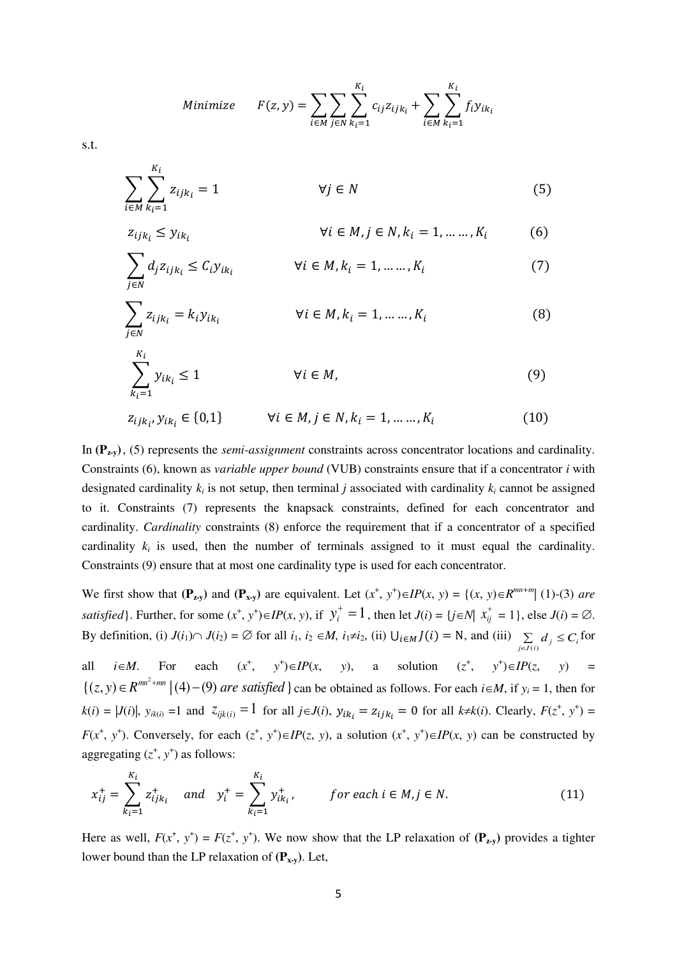Minimize 
$$
F(z, y) = \sum_{i \in M} \sum_{j \in N} \sum_{k_i=1}^{K_i} c_{ij} z_{ijk_i} + \sum_{i \in M} \sum_{k_i=1}^{K_i} f_i y_{ik_i}
$$

s.t.

 $z_{ijk_i}$ ,  $y_{ik_i}$ 

$$
\sum_{i \in M} \sum_{k_i=1}^{K_i} z_{ijk_i} = 1 \qquad \forall j \in N
$$
 (5)

$$
z_{ijk_i} \leq y_{ik_i} \qquad \qquad \forall i \in M, j \in N, k_i = 1, \dots, K_i \qquad (6)
$$

$$
\sum_{j \in N} d_j z_{ijk_i} \le C_i y_{ik_i} \qquad \forall i \in M, k_i = 1, \dots, K_i \tag{7}
$$

$$
\sum_{j \in N} z_{ijk_i} = k_i y_{ik_i} \qquad \forall i \in M, k_i = 1, \dots, K_i
$$
 (8)

$$
\sum_{k_i=1}^{K_i} y_{ik_i} \le 1 \qquad \forall i \in M, z_{ijk_i}, y_{ik_i} \in \{0,1\} \qquad \forall i \in M, j \in N, k_i = 1, \dots, K_i
$$
 (10)

(10)

In **(Pz-y)** , (5) represents the *semi-assignment* constraints across concentrator locations and cardinality. Constraints (6), known as *variable upper bound* (VUB) constraints ensure that if a concentrator *i* with designated cardinality  $k_i$  is not setup, then terminal *j* associated with cardinality  $k_i$  cannot be assigned to it. Constraints (7) represents the knapsack constraints, defined for each concentrator and cardinality. *Cardinality* constraints (8) enforce the requirement that if a concentrator of a specified cardinality  $k_i$  is used, then the number of terminals assigned to it must equal the cardinality. Constraints (9) ensure that at most one cardinality type is used for each concentrator.

We first show that  $(\mathbf{P}_{\mathbf{z}\cdot\mathbf{y}})$  and  $(\mathbf{P}_{\mathbf{x}\cdot\mathbf{y}})$  are equivalent. Let  $(x^+, y^+) \in IP(x, y) = \{(x, y) \in R^{mn+m} | (1)-(3) \text{ are } \mathbf{P}_{\mathbf{z}\cdot\mathbf{y}}\}$ *satisfied*}. Further, for some  $(x^+, y^+) \in IP(x, y)$ , if  $y_i^+ = 1$  $y_i^+ = 1$ , then let  $J(i) = \{ j \in N | X_{ij}^+ = 1 \}$ , else  $J(i) = \emptyset$ . By definition, (i)  $J(i_1) \cap J(i_2) = \emptyset$  for all  $i_1, i_2 \in M$ ,  $i_1 \neq i_2$ , (ii)  $\bigcup_{i \in M} J(i) = N$ , and (iii)  $\sum_{j \in J(i)} d_j \leq C_i$ for

all  $i \in M$ . For each  $(x^+, y^+) \in IP(x, y)$ , a solution  $(z^+, y^+) \in IP(z, y) =$  $\{(z, y) \in R^{mn^2 + mn} \mid (4) - (9)$  are satisfied  $\}$  can be obtained as follows. For each  $i \in M$ , if  $y_i = 1$ , then for  $k(i) = |J(i)|$ ,  $y_{ik(i)} = 1$  and  $z_{ijk(i)} = 1$  for all  $j \in J(i)$ ,  $y_{ik_i} = z_{ijk_i} = 0$  for all  $k \neq k(i)$ . Clearly,  $F(z^+, y^+) =$ *F*( $x^+$ ,  $y^+$ ). Conversely, for each  $(z^+, y^+) \in IP(z, y)$ , a solution  $(x^+, y^+) \in IP(x, y)$  can be constructed by aggregating  $(z^+, y^+)$  as follows:

$$
x_{ij}^{+} = \sum_{k_i=1}^{K_i} z_{ijk_i}^{+} \quad and \quad y_i^{+} = \sum_{k_i=1}^{K_i} y_{ik_i}^{+}, \qquad \text{for each } i \in M, j \in N. \tag{11}
$$

Here as well,  $F(x^+, y^+) = F(z^+, y^+)$ . We now show that the LP relaxation of  $(\mathbf{P}_{z,y})$  provides a tighter lower bound than the LP relaxation of **(Px-y)**. Let,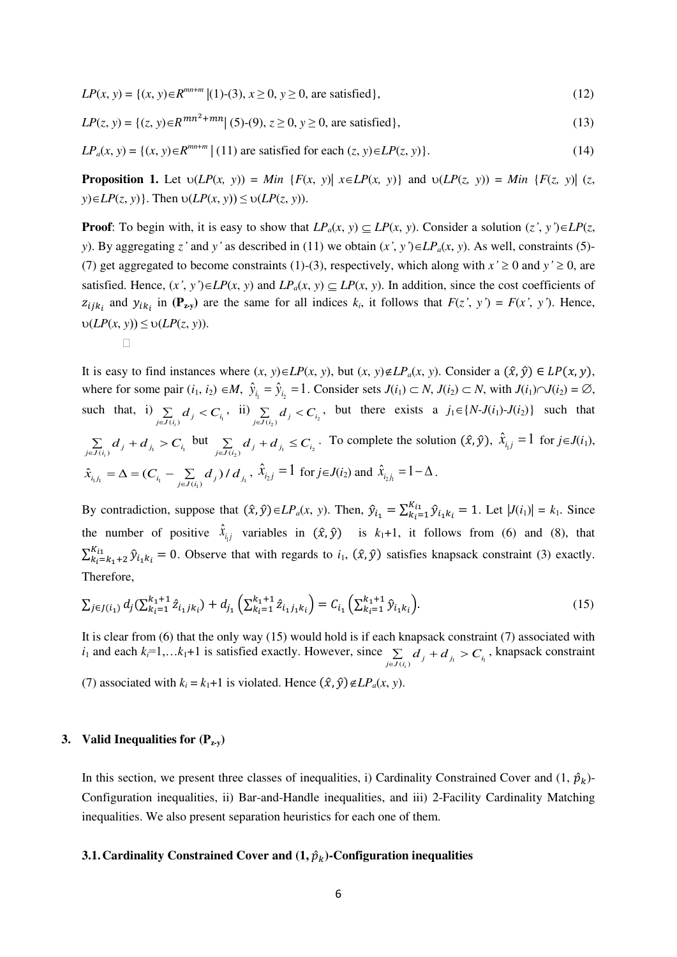$$
LP(x, y) = \{(x, y) \in R^{mn+m} | (1) \cdot (3), x \ge 0, y \ge 0, \text{ are satisfied}\},\tag{12}
$$

$$
LP(z, y) = \{(z, y) \in R^{mn^2 + mn} | (5) \cdot (9), z \ge 0, y \ge 0, \text{ are satisfied}\},\tag{13}
$$

 $LP_a(x, y) = \{(x, y) \in R^{mn+m} \mid (11) \text{ are satisfied for each } (z, y) \in LP(z, y)\}.$  (14)

**Proposition 1.** Let  $v(LP(x, y)) = Min \{F(x, y) | x \in LP(x, y)\}$  and  $v(LP(z, y)) = Min \{F(z, y) | (z, y) = N \}$  $y$ ) $\in$ *LP*(*z*, *y*)}. Then  $v(LP(x, y)) \le v(LP(z, y))$ .

**Proof**: To begin with, it is easy to show that  $LP_a(x, y) \subseteq LP(x, y)$ . Consider a solution  $(z', y') \in LP(z, y')$ *y*). By aggregating *z*<sup>*'*</sup> and *y*<sup>*'*</sup> as described in (11) we obtain  $(x', y') \in LP_a(x, y)$ . As well, constraints (5)-(7) get aggregated to become constraints (1)-(3), respectively, which along with  $x \ge 0$  and  $y \ge 0$ , are satisfied. Hence,  $(x', y') \in LP(x, y)$  and  $LP_a(x, y) \subseteq LP(x, y)$ . In addition, since the cost coefficients of  $z_{ijk_i}$  and  $y_{ik_i}$  in  $(\mathbf{P}_{z,y})$  are the same for all indices  $k_i$ , it follows that  $F(z', y') = F(x', y')$ . Hence,  $\nu(LP(x, y)) \leq \nu(LP(z, y)).$ 

$$
\qquad \qquad \Box
$$

It is easy to find instances where  $(x, y) \in LP(x, y)$ , but  $(x, y) \notin LP_a(x, y)$ . Consider a  $(\hat{x}, \hat{y}) \in LP(x, y)$ , where for some pair  $(i_1, i_2) \in M$ ,  $\hat{y}_{i_1} = \hat{y}_{i_2} = 1$ . Consider sets  $J(i_1) \subset N$ ,  $J(i_2) \subset N$ , with  $J(i_1) \cap J(i_2) = \emptyset$ , such that, i)  $\sum_{j \in J(i_i)} d_j < C_{i_i}$ , ii)  $\sum_{j \in J(i_2)} d_j < C_{i_2}$ , but there exists a  $j_1 \in \{N-J(i_1)-J(i_2)\}$  such that  $\sum_{j \in J(i_i)} d_j + d_{j_i} > C_{i_i}$ but  $\sum_{j \in J(i_2)} d_j + d_{j_1} \leq C_{i_2}$ . To complete the solution  $(\hat{x}, \hat{y})$ ,  $\hat{x}_{i_1j} = 1$  for  $j \in J(i_1)$ ,  $\hat{x}_{i,j_1} = \Delta = (C_{i_1} - \sum_{j \in J(i_1)} d_j) / d_{j_1}$ ,  $\hat{x}_{i_2j} = 1$  for  $j \in J(i_2)$  and  $\hat{x}_{i_2j_1} = 1 - \Delta$ .

By contradiction, suppose that  $(\hat{x}, \hat{y}) \in LP_a(x, y)$ . Then,  $\hat{y}_{i_1} = \sum_{k=1}^{K_{i_1}} \hat{y}_{i_1 k_i} = 1$ . Let  $|J(i_1)| = k_1$ . Since the number of positive  $\hat{x}_{i,j}$  variables in  $(\hat{x}, \hat{y})$  is  $k_1+1$ , it follows from (6) and (8), that  $\sum_{k_i=k_1+2}^{K_{i1}} \hat{y}_{i_1k_i} = 0$ . Observe that with regards to  $i_1$ ,  $(\hat{x}, \hat{y})$  satisfies knapsack constraint (3) exactly. Therefore,

$$
\sum_{j \in J(i_1)} d_j (\sum_{k_i=1}^{k_1+1} \hat{z}_{i_1 j k_i}) + d_{j_1} \left( \sum_{k_i=1}^{k_1+1} \hat{z}_{i_1 j_1 k_i} \right) = C_{i_1} \left( \sum_{k_i=1}^{k_1+1} \hat{y}_{i_1 k_i} \right).
$$
\n(15)

It is clear from (6) that the only way (15) would hold is if each knapsack constraint (7) associated with *i*<sub>1</sub> and each  $k_i=1,...k_1+1$  is satisfied exactly. However, since  $\sum_{j\in J(i_i)} d_j + d_{j_i} > C_{i_i}$ , knapsack constraint (7) associated with  $k_i = k_1 + 1$  is violated. Hence  $(\hat{x}, \hat{y}) \notin LP_a(x, y)$ .

## **3. Valid Inequalities for (Pz-y)**

In this section, we present three classes of inequalities, i) Cardinality Constrained Cover and  $(1, \hat{p}_k)$ -Configuration inequalities, ii) Bar-and-Handle inequalities, and iii) 2-Facility Cardinality Matching inequalities. We also present separation heuristics for each one of them.

#### **3.1. Cardinality Constrained Cover and**  $(1, \hat{p}_k)$ **-Configuration inequalities**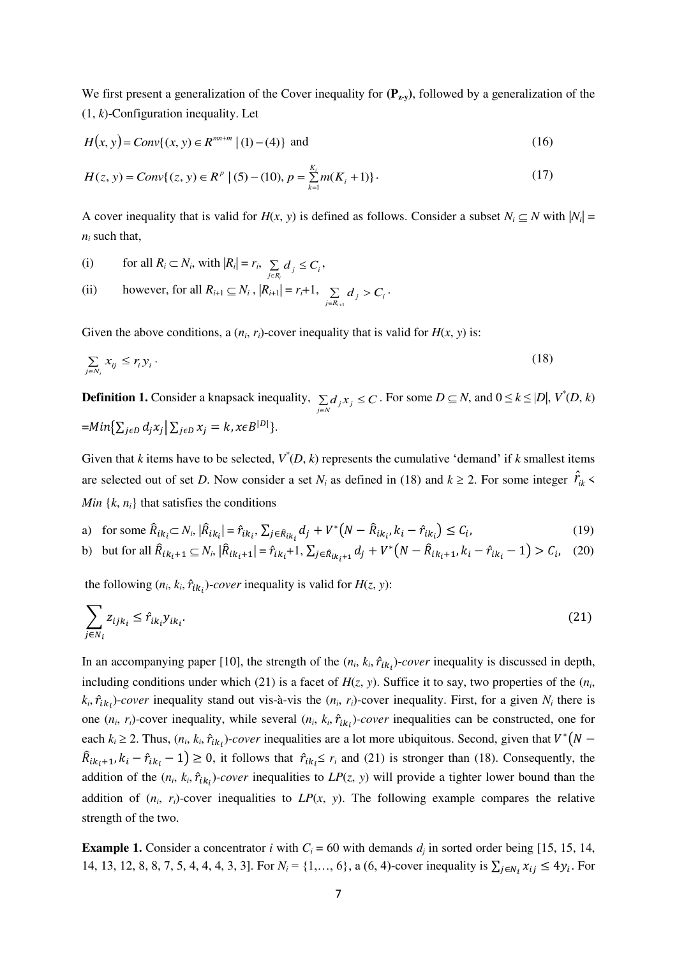We first present a generalization of the Cover inequality for  $(\mathbf{P}_{\mathbf{z}\cdot\mathbf{v}})$ , followed by a generalization of the (1, *k*)-Configuration inequality. Let

$$
H(x, y) = Conv\{(x, y) \in R^{mn+m} \mid (1) - (4)\} \text{ and } (16)
$$

$$
H(z, y) = Conv\{(z, y) \in R^{p} \mid (5) - (10), p = \sum_{k=1}^{K_i} m(K_i + 1)\}.
$$
 (17)

A cover inequality that is valid for  $H(x, y)$  is defined as follows. Consider a subset  $N_i \subseteq N$  with  $|N_i|$  =  $n_i$  such that,

.

\n- (i) for all 
$$
R_i \subset N_i
$$
, with  $|R_i| = r_i$ ,  $\sum_{j \in R_i} d_j \leq C_i$ ,
\n- (ii) however, for all  $R_{i+1} \subseteq N_i$ ,  $|R_{i+1}| = r_i + 1$ ,  $\sum_{j \in R_{i+1}} d_j > C_i$
\n

Given the above conditions, a  $(n_i, r_i)$ -cover inequality that is valid for  $H(x, y)$  is:

$$
\sum_{j \in N_i} x_{ij} \le r_i y_i \,. \tag{18}
$$

**Definition 1.** Consider a knapsack inequality,  $\sum_{j \in N} d_j x_j \leq C$ . For some  $D \subseteq N$ , and  $0 \le k \le |D|$ ,  $V^*(D, k)$  $=Min\{\sum_{j\in D}d_jx_j|\sum_{j\in D}x_j=k, x\in B^{|D|}\}.$ 

Given that *k* items have to be selected,  $V^*(D, k)$  represents the cumulative 'demand' if *k* smallest items are selected out of set *D*. Now consider a set  $N_i$  as defined in (18) and  $k \ge 2$ . For some integer  $\hat{r}_{ik}$  < *Min*  $\{k, n_i\}$  that satisfies the conditions

a) for some 
$$
\hat{R}_{ik_i} \subset N_i
$$
,  $|\hat{R}_{ik_i}| = \hat{r}_{ik_i}$ ,  $\sum_{j \in \hat{R}_{ik_i}} d_j + V^*(N - \hat{R}_{ik_i}, k_i - \hat{r}_{ik_i}) \le C_i$ , (19)

b) but for all 
$$
\hat{R}_{ik_i+1} \subseteq N_i
$$
,  $|\hat{R}_{ik_i+1}| = \hat{r}_{ik_i} + 1$ ,  $\sum_{j \in \hat{R}_{ik_i+1}} d_j + V^* (N - \hat{R}_{ik_i+1}, k_i - \hat{r}_{ik_i} - 1) > C_i$ , (20)

the following  $(n_i, k_i, \hat{r}_{ik_i})$ -*cover* inequality is valid for  $H(z, y)$ :

$$
\sum_{j \in N_i} z_{ijk_i} \le \hat{r}_{ik_i} y_{ik_i}.
$$
\n(21)

In an accompanying paper [10], the strength of the  $(n_i, k_i, \hat{r}_{ik_i})$ -*cover* inequality is discussed in depth, including conditions under which (21) is a facet of  $H(z, y)$ . Suffice it to say, two properties of the  $(n_i,$  $k_i$ ,  $\hat{r}_{ik_i}$ )-cover inequality stand out vis-à-vis the  $(n_i, r_i)$ -cover inequality. First, for a given  $N_i$  there is one  $(n_i, r_i)$ -cover inequality, while several  $(n_i, k_i, \hat{r}_{ik_i})$ -*cover* inequalities can be constructed, one for each  $k_i \ge 2$ . Thus,  $(n_i, k_i, \hat{r}_{ik_i})$ -*cover* inequalities are a lot more ubiquitous. Second, given that  $V^*(N \hat{R}_{ik_i+1}, k_i - \hat{r}_{ik_i} - 1 \ge 0$ , it follows that  $\hat{r}_{ik_i} \le r_i$  and (21) is stronger than (18). Consequently, the addition of the  $(n_i, k_i, \hat{r}_{ik_i})$ -*cover* inequalities to  $LP(z, y)$  will provide a tighter lower bound than the addition of  $(n_i, r_i)$ -cover inequalities to  $LP(x, y)$ . The following example compares the relative strength of the two.

**Example 1.** Consider a concentrator *i* with  $C_i = 60$  with demands  $d_j$  in sorted order being [15, 15, 14, 14, 13, 12, 8, 8, 7, 5, 4, 4, 4, 3, 3]. For  $N_i = \{1, ..., 6\}$ , a  $(6, 4)$ -cover inequality is  $\sum_{j \in N_i} x_{ij} \le 4y_i$ . For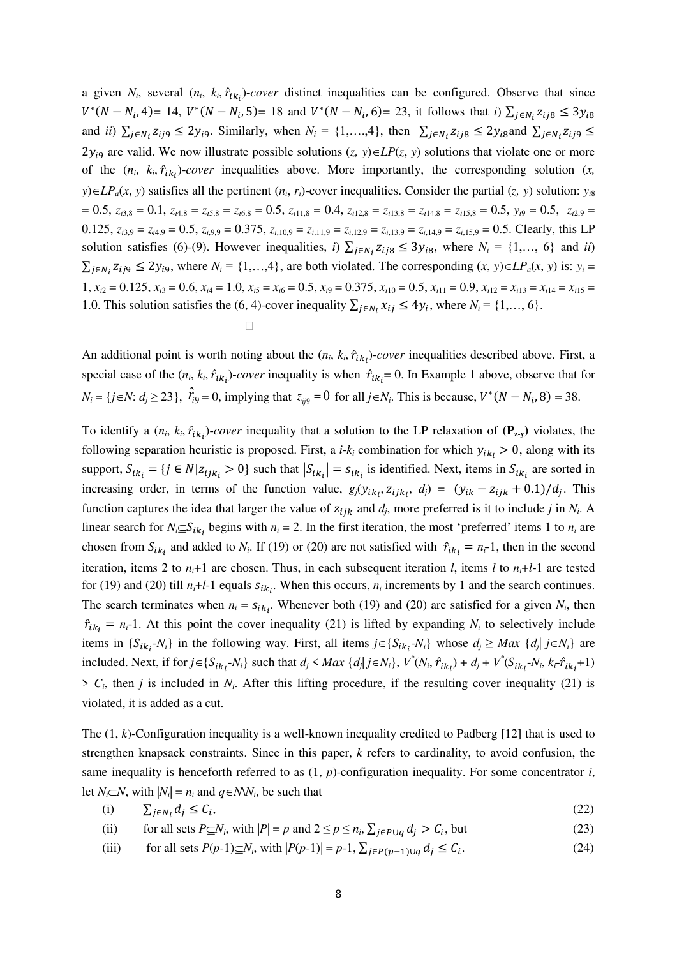a given  $N_i$ , several  $(n_i, k_i, \hat{r}_{ik_i})$ -*cover* distinct inequalities can be configured. Observe that since  $V^*(N - N_i, 4) = 14$ ,  $V^*(N - N_i, 5) = 18$  and  $V^*(N - N_i, 6) = 23$ , it follows that *i*)  $\sum_{j \in N_i} z_{ij8} \le 3y_{i8}$ and *ii*)  $\sum_{j \in N_i} z_{ij9} \le 2y_{i9}$ . Similarly, when  $N_i = \{1, ..., 4\}$ , then  $\sum_{j \in N_i} z_{ij8} \le 2y_{i8}$  and  $\sum_{j \in N_i} z_{ij9} \le$  $2y_{i9}$  are valid. We now illustrate possible solutions  $(z, y) \in LP(z, y)$  solutions that violate one or more of the  $(n_i, k_i, \hat{r}_{ik_i})$ -*cover* inequalities above. More importantly, the corresponding solution  $(x, k_i, \hat{r}_{ik_i})$  $y$ ) $\in L$ *P<sub>a</sub>*(*x*, *y*) satisfies all the pertinent (*n<sub>i</sub>*, *r<sub>i</sub>*)-cover inequalities. Consider the partial (*z, y*) solution: *y*<sub>*i*8</sub>  $= 0.5, z_{i3,8} = 0.1, z_{i4,8} = z_{i5,8} = z_{i6,8} = 0.5, z_{i11,8} = 0.4, z_{i12,8} = z_{i13,8} = z_{i14,8} = z_{i15,8} = 0.5, y_{i9} = 0.5, z_{i2,9} = 0.5$ 0.125,  $z_{i3.9} = z_{i4.9} = 0.5$ ,  $z_{i.9.9} = 0.375$ ,  $z_{i.10.9} = z_{i.11.9} = z_{i.12.9} = z_{i.13.9} = z_{i.14.9} = z_{i.15.9} = 0.5$ . Clearly, this LP solution satisfies (6)-(9). However inequalities, *i*)  $\sum_{j \in N_i} z_{ij8} \le 3y_{i8}$ , where  $N_i = \{1, ..., 6\}$  and *ii*)  $\sum_{j \in N_i} z_{ij9} \le 2y_{i9}$ , where  $N_i = \{1, ..., 4\}$ , are both violated. The corresponding  $(x, y) \in LP_a(x, y)$  is:  $y_i =$  $1, x_{i2} = 0.125, x_{i3} = 0.6, x_{i4} = 1.0, x_{i5} = x_{i6} = 0.5, x_{i9} = 0.375, x_{i10} = 0.5, x_{i11} = 0.9, x_{i12} = x_{i13} = x_{i14} = x_{i15} = 0.5$ 1.0. This solution satisfies the (6, 4)-cover inequality  $\sum_{j \in N_i} x_{ij} \le 4y_i$ , where  $N_i = \{1, ..., 6\}$ .

An additional point is worth noting about the  $(n_i, k_i, \hat{r}_{ik_i})$ -*cover* inequalities described above. First, a special case of the  $(n_i, k_i, \hat{r}_{ik_i})$ -*cover* inequality is when  $\hat{r}_{ik_i} = 0$ . In Example 1 above, observe that for  $N_i = \{ j \in \mathbb{N} : d_j \ge 23 \}, \quad \hat{r}_{i9} = 0, \text{ implying that } z_{ij9} = 0 \text{ for all } j \in \mathbb{N}_i. \text{ This is because, } V^*(N - N_i, 8) = 38.$ 

<u>and the contract of the contract of</u>

To identify a  $(n_i, k_i, \hat{r}_{ik_i})$ -cover inequality that a solution to the LP relaxation of  $(\mathbf{P}_{z,y})$  violates, the following separation heuristic is proposed. First, a  $i-k_i$  combination for which  $y_{ik_i} > 0$ , along with its support,  $S_{ik_i} = \{j \in N | z_{ijk_i} > 0\}$  such that  $|S_{ik_i}| = s_{ik_i}$  is identified. Next, items in  $S_{ik_i}$  are sorted in increasing order, in terms of the function value,  $g_j(y_{ik_i}, z_{ijk_i}, d_j) = (y_{ik} - z_{ijk} + 0.1)/d_j$ . This function captures the idea that larger the value of  $z_{ijk}$  and  $d_j$ , more preferred is it to include *j* in  $N_i$ . A linear search for  $N_i \subseteq S_{ik_i}$  begins with  $n_i = 2$ . In the first iteration, the most 'preferred' items 1 to  $n_i$  are chosen from  $S_{ik_i}$  and added to  $N_i$ . If (19) or (20) are not satisfied with  $\hat{r}_{ik_i} = n_i-1$ , then in the second iteration, items 2 to  $n_i+1$  are chosen. Thus, in each subsequent iteration *l*, items *l* to  $n_i+1-1$  are tested for (19) and (20) till  $n_i+1-1$  equals  $s_{ik_i}$ . When this occurs,  $n_i$  increments by 1 and the search continues. The search terminates when  $n_i = s_{ik_i}$ . Whenever both (19) and (20) are satisfied for a given  $N_i$ , then  $\hat{r}_{ik_i} = n_i-1$ . At this point the cover inequality (21) is lifted by expanding  $N_i$  to selectively include items in  $\{S_{ik_i}N_i\}$  in the following way. First, all items  $j \in \{S_{ik_i}N_i\}$  whose  $d_j \geq Max \{d_j | j \in N_i\}$  are included. Next, if for  $j \in \{S_{ik_i}N_i\}$  such that  $d_j \prec Max \{d_j | j \in N_i\}$ ,  $V^*(N_i, \hat{r}_{ik_i}) + d_j + V^*(S_{ik_i}N_i, k_i + \hat{r}_{ik_i} + 1)$  $> C_i$ , then *j* is included in  $N_i$ . After this lifting procedure, if the resulting cover inequality (21) is violated, it is added as a cut.

The (1, *k*)-Configuration inequality is a well-known inequality credited to Padberg [12] that is used to strengthen knapsack constraints. Since in this paper, *k* refers to cardinality, to avoid confusion, the same inequality is henceforth referred to as (1, *p*)-configuration inequality. For some concentrator *i*, let *N*<sub>*i*</sub> $\subset$ *N*, with  $|N_i| = n_i$  and  $q \in NN_i$ , be such that

$$
(i) \qquad \sum_{j \in N_i} d_j \le C_i,\tag{22}
$$

(ii) for all sets  $P \subseteq N_i$ , with  $|P| = p$  and  $2 \le p \le n_i$ ,  $\sum_{j \in P \cup q} d_j > C_i$ , but (23)

(iii) for all sets  $P(p-1)\subseteq N_i$ , with  $|P(p-1)| = p-1$ ,  $\sum_{j \in P(p-1)\cup q} d_j \le C_i$ . (24)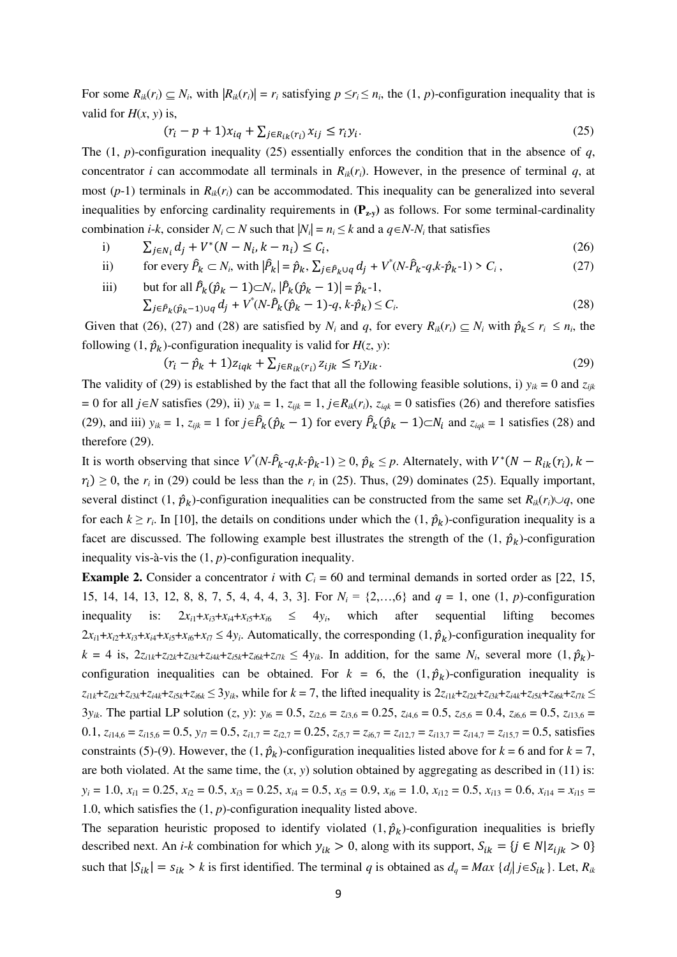For some  $R_{ik}(r_i) \subseteq N_i$ , with  $|R_{ik}(r_i)| = r_i$  satisfying  $p \le r_i \le n_i$ , the  $(1, p)$ -configuration inequality that is valid for  $H(x, y)$  is,

$$
(r_i - p + 1)x_{iq} + \sum_{j \in R_{ik}(r_i)} x_{ij} \le r_i y_i.
$$
 (25)

The (1, *p*)-configuration inequality (25) essentially enforces the condition that in the absence of *q*, concentrator *i* can accommodate all terminals in  $R_{ik}(r_i)$ . However, in the presence of terminal *q*, at most  $(p-1)$  terminals in  $R_k(r_i)$  can be accommodated. This inequality can be generalized into several inequalities by enforcing cardinality requirements in  $(P_{\mathbf{z} \cdot \mathbf{y}})$  as follows. For some terminal-cardinality combination *i*-*k*, consider  $N_i \subset N$  such that  $|N_i| = n_i \leq k$  and a  $q \in N$ - $N_i$  that satisfies

- i)  $\sum_{j \in N_i} d_j + V^*(N N_i, k n_i) \le C_i$  $(26)$
- ii) for every  $\hat{P}_k \subset N_i$ , with  $|\hat{P}_k| = \hat{p}_k$ ,  $\sum_{j \in \hat{P}_k \cup q} d_j + V^*(N \cdot \hat{P}_k q, k \cdot \hat{p}_k 1) > C_i$  $(27)$

iii) but for all 
$$
\hat{P}_k(\hat{p}_k - 1) \subset N_i
$$
,  $|\hat{P}_k(\hat{p}_k - 1)| = \hat{p}_k - 1$ ,  
\n
$$
\sum_{j \in \hat{P}_k(\hat{p}_k - 1) \cup q} d_j + V^*(N \cdot \hat{P}_k(\hat{p}_k - 1) - q, k \cdot \hat{p}_k) \le C_i.
$$
\n(28)

Given that (26), (27) and (28) are satisfied by  $N_i$  and  $q$ , for every  $R_{ik}(r_i) \subseteq N_i$  with  $\hat{p}_k \le r_i \le n_i$ , the following  $(1, \hat{p}_k)$ -configuration inequality is valid for  $H(z, y)$ :

$$
(r_i - \hat{p}_k + 1)z_{iqk} + \sum_{j \in R_{ik}(r_i)} z_{ijk} \le r_i y_{ik}.
$$
\n
$$
(29)
$$

The validity of (29) is established by the fact that all the following feasible solutions, i)  $y_{ik} = 0$  and  $z_{iik}$  $= 0$  for all  $j \in N$  satisfies (29), ii)  $y_{ik} = 1$ ,  $z_{ijk} = 1$ ,  $j \in R_{ik}(r_i)$ ,  $z_{iak} = 0$  satisfies (26) and therefore satisfies (29), and iii)  $y_{ik} = 1$ ,  $z_{ijk} = 1$  for  $j \in \hat{P}_k(\hat{p}_k - 1)$  for every  $\hat{P}_k(\hat{p}_k - 1) \subset N_i$  and  $z_{iqk} = 1$  satisfies (28) and therefore (29).

It is worth observing that since  $V^*(N \cdot \hat{P}_k - q, k \cdot \hat{p}_k - 1) \ge 0$ ,  $\hat{p}_k \le p$ . Alternately, with  $V^*(N - R_{ik}(r_i), k - 1)$  $r_i$ )  $\geq$  0, the  $r_i$  in (29) could be less than the  $r_i$  in (25). Thus, (29) dominates (25). Equally important, several distinct  $(1, \hat{p}_k)$ -configuration inequalities can be constructed from the same set  $R_{ik}(r_i) \cup q$ , one for each  $k \ge r_i$ . In [10], the details on conditions under which the  $(1, \hat{p}_k)$ -configuration inequality is a facet are discussed. The following example best illustrates the strength of the  $(1, \hat{p}_k)$ -configuration inequality vis-à-vis the (1, *p*)-configuration inequality.

**Example 2.** Consider a concentrator *i* with  $C_i = 60$  and terminal demands in sorted order as [22, 15, 15, 14, 14, 13, 12, 8, 8, 7, 5, 4, 4, 4, 3, 3]. For *N<sup>i</sup>* = {2,…,6} and *q* = 1, one (1, *p*)-configuration inequality is:  $2x_{i1}+x_{i3}+x_{i4}+x_{i5}+x_{i6} \le 4y_i$ , which after sequential lifting becomes  $2x_{i1}+x_{i2}+x_{i3}+x_{i4}+x_{i5}+x_{i6}+x_{i7} \le 4y_i$ . Automatically, the corresponding  $(1, \hat{p}_k)$ -configuration inequality for  $k = 4$  is,  $2z_{i1k} + z_{i2k} + z_{i3k} + z_{i4k} + z_{i5k} + z_{i6k} + z_{i7k} \le 4y_{ik}$ . In addition, for the same  $N_i$ , several more  $(1, \hat{p}_k)$ configuration inequalities can be obtained. For  $k = 6$ , the  $(1, \hat{p}_k)$ -configuration inequality is  $z_{i1k}+z_{i2k}+z_{i3k}+z_{i4k}+z_{i5k}+z_{i6k} \leq 3y_k$ , while for  $k=7$ , the lifted inequality is  $2z_{i1k}+z_{i2k}+z_{i2k}+z_{i3k}+z_{i6k}+z_{i6k}+z_{i7k} \leq 3y_k$  $3y_{ik}$ . The partial LP solution  $(z, y)$ :  $y_{i6} = 0.5$ ,  $z_{i2,6} = z_{i3,6} = 0.25$ ,  $z_{i4,6} = 0.5$ ,  $z_{i5,6} = 0.4$ ,  $z_{i6,6} = 0.5$ ,  $z_{i13,6} = 0.5$ 0.1,  $z_{i14,6} = z_{i15,6} = 0.5$ ,  $y_{i7} = 0.5$ ,  $z_{i1,7} = z_{i2,7} = 0.25$ ,  $z_{i5,7} = z_{i6,7} = z_{i12,7} = z_{i13,7} = z_{i14,7} = z_{i15,7} = 0.5$ , satisfies constraints (5)-(9). However, the  $(1, \hat{p}_k)$ -configuration inequalities listed above for  $k = 6$  and for  $k = 7$ , are both violated. At the same time, the  $(x, y)$  solution obtained by aggregating as described in (11) is:  $y_i = 1.0$ ,  $x_{i1} = 0.25$ ,  $x_{i2} = 0.5$ ,  $x_{i3} = 0.25$ ,  $x_{i4} = 0.5$ ,  $x_{i5} = 0.9$ ,  $x_{i6} = 1.0$ ,  $x_{i12} = 0.5$ ,  $x_{i13} = 0.6$ ,  $x_{i14} = x_{i15} = 0.5$ 1.0, which satisfies the (1, *p*)-configuration inequality listed above.

The separation heuristic proposed to identify violated  $(1, \hat{p}_k)$ -configuration inequalities is briefly described next. An *i*-*k* combination for which  $y_{ik} > 0$ , along with its support,  $S_{ik} = \{j \in N | z_{ijk} > 0\}$ such that  $|S_{ik}| = s_{ik} > k$  is first identified. The terminal *q* is obtained as  $d_q = Max$  { $d_j | j \in S_{ik}$ }. Let,  $R_{ik}$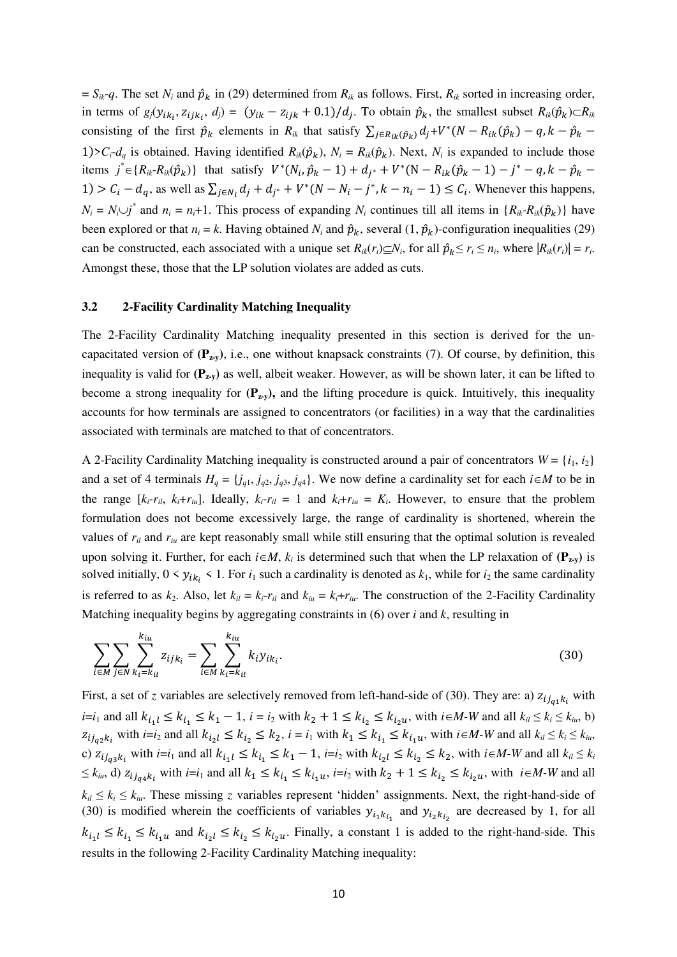$S_{ik}$ -*q*. The set *N<sub>i</sub>* and  $\hat{p}_k$  in (29) determined from  $R_{ik}$  as follows. First,  $R_{ik}$  sorted in increasing order, in terms of  $g_j(y_{ik_i}, z_{ijk_i}, d_j) = (y_{ik} - z_{ijk} + 0.1)/d_j$ . To obtain  $\hat{p}_k$ , the smallest subset  $R_{ik}(\hat{p}_k) \subset R_{ik}$ consisting of the first  $\hat{p}_k$  elements in  $R_{ik}$  that satisfy  $\sum_{j \in R_{ik}(\hat{p}_k)} d_j + V^*(N - R_{ik}(\hat{p}_k) - q, k - \hat{p}_k - \hat{p}_k)$ 1)> $C_i$ -*d<sub>q</sub>* is obtained. Having identified  $R_{ik}(\hat{p}_k)$ ,  $N_i = R_{ik}(\hat{p}_k)$ . Next,  $N_i$  is expanded to include those items  $j^* \in \{R_{ik} - R_{ik}(\hat{p}_k)\}\$  that satisfy  $V^*(N_i, \hat{p}_k - 1) + d_{j^*} + V^*(N - R_{ik}(\hat{p}_k - 1) - j^* - q, k - \hat{p}_k -$ 1) >  $C_i - d_q$ , as well as  $\sum_{j \in N_i} d_j + d_{j^*} + V^*(N - N_i - j^*, k - n_i - 1) \le C_i$ . Whenever this happens,  $N_i = N_i \cup j^*$  and  $n_i = n_i + 1$ . This process of expanding  $N_i$  continues till all items in  $\{R_{ik} - R_{ik}(\hat{p}_k)\}\$  have been explored or that  $n_i = k$ . Having obtained  $N_i$  and  $\hat{p}_k$ , several  $(1, \hat{p}_k)$ -configuration inequalities (29) can be constructed, each associated with a unique set  $R_{ik}(r_i) \subseteq N_i$ , for all  $\hat{p}_k \le r_i \le n_i$ , where  $|R_{ik}(r_i)| = r_i$ . Amongst these, those that the LP solution violates are added as cuts.

#### **3.2 2-Facility Cardinality Matching Inequality**

The 2-Facility Cardinality Matching inequality presented in this section is derived for the uncapacitated version of  $(\mathbf{P}_{\mathbf{z}\cdot\mathbf{v}})$ , i.e., one without knapsack constraints (7). Of course, by definition, this inequality is valid for  $(\mathbf{P}_{zv})$  as well, albeit weaker. However, as will be shown later, it can be lifted to become a strong inequality for  $(P_{\mathbf{z},v})$ , and the lifting procedure is quick. Intuitively, this inequality accounts for how terminals are assigned to concentrators (or facilities) in a way that the cardinalities associated with terminals are matched to that of concentrators.

A 2-Facility Cardinality Matching inequality is constructed around a pair of concentrators  $W = \{i_1, i_2\}$ and a set of 4 terminals  $H_q = \{j_{q1}, j_{q2}, j_{q3}, j_{q4}\}\.$  We now define a cardinality set for each  $i \in M$  to be in the range  $[k_i - r_{il}, k_i + r_{il}]$ . Ideally,  $k_i - r_{il} = 1$  and  $k_i + r_{il} = K_i$ . However, to ensure that the problem formulation does not become excessively large, the range of cardinality is shortened, wherein the values of  $r_{il}$  and  $r_{iu}$  are kept reasonably small while still ensuring that the optimal solution is revealed upon solving it. Further, for each  $i \in M$ ,  $k_i$  is determined such that when the LP relaxation of  $(\mathbf{P}_{z-y})$  is solved initially,  $0 \le y_{ik_i} \le 1$ . For  $i_1$  such a cardinality is denoted as  $k_1$ , while for  $i_2$  the same cardinality is referred to as  $k_2$ . Also, let  $k_{il} = k_i - r_{il}$  and  $k_{iu} = k_i + r_{iu}$ . The construction of the 2-Facility Cardinality Matching inequality begins by aggregating constraints in  $(6)$  over *i* and *k*, resulting in

$$
\sum_{i \in M} \sum_{j \in N} \sum_{k_i = k_{il}}^{k_{iu}} z_{ijk_i} = \sum_{i \in M} \sum_{k_i = k_{il}}^{k_{iu}} k_i y_{ik_i}.
$$
\n(30)

First, a set of *z* variables are selectively removed from left-hand-side of (30). They are: a)  $z_{ij_{q1}k_i}$  with *i*=*i*<sub>1</sub> and all  $k_{i_1}$  ≤  $k_{i_1}$  ≤  $k_1$  − 1, *i* = *i*<sub>2</sub> with  $k_2$  + 1 ≤  $k_{i_2}$  ≤  $k_{i_2}$ *u*, with *i*∈*M*-*W* and all  $k_{i}$  ≤  $k_{i}$  ≤  $k_{i}$ <sub>*u*</sub>, b)  $z_{i j_{q2} k_i}$  with  $i = i_2$  and all  $k_{i_2 l} \leq k_{i_2} \leq k_2$ ,  $i = i_1$  with  $k_1 \leq k_{i_1} \leq k_{i_1 u}$ , with  $i \in M$ -W and all  $k_{i l} \leq k_i \leq k_{i u}$ , c)  $z_{ij_{q3}k_i}$  with  $i=i_1$  and all  $k_{i_1l} \leq k_{i_1} \leq k_1-1$ ,  $i=i_2$  with  $k_{i_2l} \leq k_{i_2} \leq k_2$ , with  $i \in M-W$  and all  $k_{il} \leq k_i$  $\leq k_{iu}$ , d)  $z_{ij_{q4}k_i}$  with  $i=i_1$  and all  $k_1 \leq k_{i_1} \leq k_{i_1u}$ ,  $i=i_2$  with  $k_2+1 \leq k_{i_2} \leq k_{i_2u}$ , with  $i \in M-W$  and all  $k_{il} \leq k_i \leq k_{iu}$ . These missing *z* variables represent 'hidden' assignments. Next, the right-hand-side of (30) is modified wherein the coefficients of variables  $y_{i_1k_{i_1}}$  and  $y_{i_2k_{i_2}}$  are decreased by 1, for all  $k_{i_1} \leq k_{i_1} \leq k_{i_1} \leq k_{i_2} \leq k_{i_2} \leq k_{i_2} \leq k_{i_1}$ . Finally, a constant 1 is added to the right-hand-side. This results in the following 2-Facility Cardinality Matching inequality: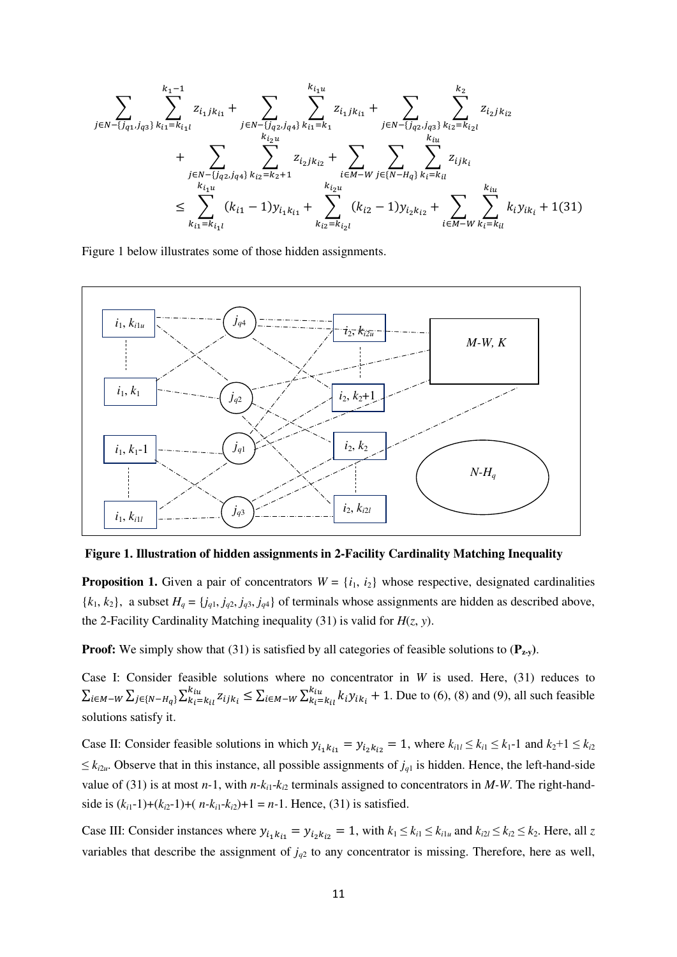$$
\sum_{j \in N - \{j_{q1}, j_{q3}\}}\sum_{k_{i1}=k_{i_1l}}^{k_1-1}z_{i_1jk_{i1}} + \sum_{j \in N - \{j_{q2}, j_{q4}\}}\sum_{k_{i_1=k_1}}^{k_{i_1u}}z_{i_1jk_{i1}} + \sum_{j \in N - \{j_{q2}, j_{q3}\}}\sum_{k_{i_2=k_{i_2l}}}^{k_2}z_{i_2jk_{i2}} + \sum_{\substack{k_{i_2u} \\ k_{i_1u}}} \sum_{k_{i_2=k_2+1}}^{k_{i_2u}}z_{i_2jk_{i2}} + \sum_{\substack{i \in M - W \\ k_{i_2u}}} \sum_{j \in \{N - H_q\}}^{k_{i_1u}}\sum_{k_{i2}=k_{i_l}}^{k_{i_1u}}z_{i_jk_i} + \sum_{\substack{k_{i_2u} \\ k_{i_2u}}} \sum_{k_{i_2=k_{i_2l}}}^{k_{i_2u}}z_{i_jk_i} + \sum_{\substack{k \in M - W \\ k_{i_2=k_{i_2l}}}}^{k_{i_2u}}z_{i_jk_i} + 1(31)
$$

Figure 1 below illustrates some of those hidden assignments.



**Figure 1. Illustration of hidden assignments in 2-Facility Cardinality Matching Inequality** 

**Proposition 1.** Given a pair of concentrators  $W = \{i_1, i_2\}$  whose respective, designated cardinalities  ${k_1, k_2}$ , a subset  $H_q = {j_{q1}, j_{q2}, j_{q3}, j_{q4}}$  of terminals whose assignments are hidden as described above, the 2-Facility Cardinality Matching inequality (31) is valid for  $H(z, y)$ .

**Proof:** We simply show that (31) is satisfied by all categories of feasible solutions to  $(\mathbf{P}_{z,y})$ .

Case I: Consider feasible solutions where no concentrator in *W* is used. Here, (31) reduces to  $\sum_{i \in M-W} \sum_{j \in \{N-H_q\}} \sum_{k_i=k_{i1}}^{k_{iu}} z_{ijk_i} \le \sum_{i \in M-W} \sum_{k_i=k_{i1}}^{k_{iu}} k_i y_{ik_i} + 1$ . Due to (6), (8) and (9), all such feasible solutions satisfy it.

Case II: Consider feasible solutions in which  $y_{i_1 k_{i_1}} = y_{i_2 k_{i_2}} = 1$ , where  $k_{i_1} \leq k_{i_1} \leq k_{i_1} - 1$  and  $k_2 + 1 \leq k_{i_2}$  $\leq$  *k*<sub>i2*u*</sub>. Observe that in this instance, all possible assignments of  $j_{q1}$  is hidden. Hence, the left-hand-side value of (31) is at most  $n-1$ , with  $n-k_{i1}-k_{i2}$  terminals assigned to concentrators in *M-W*. The right-handside is  $(k_{i1}-1)+(k_{i2}-1)+(n-k_{i1}-k_{i2})+1 = n-1$ . Hence, (31) is satisfied.

Case III: Consider instances where  $y_{i_1} k_{i_1} = y_{i_2} k_{i_2} = 1$ , with  $k_1 \le k_{i_1} \le k_{i_1}$  and  $k_{i_2} \le k_{i_2} \le k_2$ . Here, all *z* variables that describe the assignment of  $j_{q2}$  to any concentrator is missing. Therefore, here as well,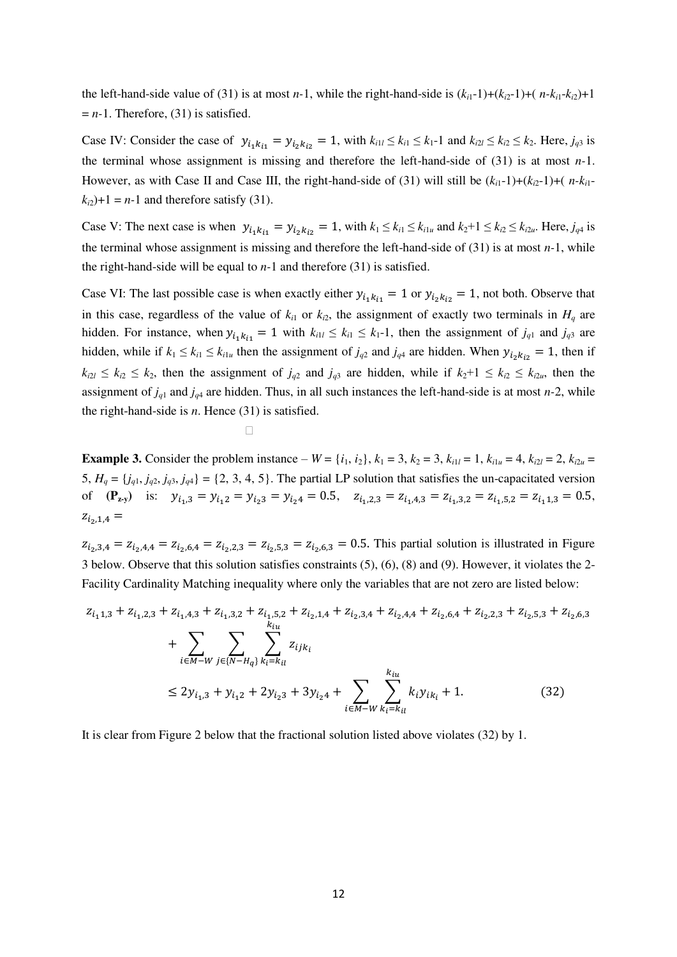the left-hand-side value of (31) is at most *n*-1, while the right-hand-side is  $(k_{i1}-1)+(k_{i2}-1)+(n-k_{i1}-k_{i2})+1$  $= n-1$ . Therefore, (31) is satisfied.

Case IV: Consider the case of  $y_{i_1 k_{i1}} = y_{i_2 k_{i2}} = 1$ , with  $k_{i1} \le k_{i1} \le k_{i1} - 1$  and  $k_{i2} \le k_{i2} \le k_2$ . Here,  $j_{q3}$  is the terminal whose assignment is missing and therefore the left-hand-side of (31) is at most *n-*1. However, as with Case II and Case III, the right-hand-side of (31) will still be  $(k_{i1}-1)+(k_{i2}-1)+(n-k_{i1}-1)$  $k_{i2}$ )+1 = *n*-1 and therefore satisfy (31).

Case V: The next case is when  $y_{i_1} k_{i_1} = y_{i_2} k_{i_2} = 1$ , with  $k_1 \le k_{i_1} \le k_{i_1}$  and  $k_2 + 1 \le k_{i_2} \le k_{i_2}$ . Here,  $j_{q4}$  is the terminal whose assignment is missing and therefore the left-hand-side of (31) is at most *n-*1, while the right-hand-side will be equal to *n-*1 and therefore (31) is satisfied.

Case VI: The last possible case is when exactly either  $y_{i_1 k_{i_1}} = 1$  or  $y_{i_2 k_{i_2}} = 1$ , not both. Observe that in this case, regardless of the value of  $k_i$ <sup>1</sup> or  $k_i$ <sup>2</sup>, the assignment of exactly two terminals in  $H_q$  are hidden. For instance, when  $y_{i_1} k_{i_1} = 1$  with  $k_{i_1} \leq k_1 \leq k_1$ -1, then the assignment of  $j_{q_1}$  and  $j_{q_2}$  are hidden, while if  $k_1 \le k_{i1} \le k_{i1u}$  then the assignment of  $j_{q2}$  and  $j_{q4}$  are hidden. When  $y_{i_2k_{i2}} = 1$ , then if  $k_{i2l} \leq k_{i2} \leq k_2$ , then the assignment of  $j_{q2}$  and  $j_{q3}$  are hidden, while if  $k_2+1 \leq k_{i2} \leq k_{i2u}$ , then the assignment of  $j_{q1}$  and  $j_{q4}$  are hidden. Thus, in all such instances the left-hand-side is at most *n*-2, while the right-hand-side is *n*. Hence (31) is satisfied.

$$
\mathcal{L}^{\mathcal{L}}(\mathcal{L}^{\mathcal{L}}(\mathcal{L}^{\mathcal{L}}(\mathcal{L}^{\mathcal{L}}(\mathcal{L}^{\mathcal{L}}(\mathcal{L}^{\mathcal{L}}(\mathcal{L}^{\mathcal{L}}(\mathcal{L}^{\mathcal{L}}(\mathcal{L}^{\mathcal{L}}(\mathcal{L}^{\mathcal{L}}(\mathcal{L}^{\mathcal{L}}(\mathcal{L}^{\mathcal{L}}(\mathcal{L}^{\mathcal{L}}(\mathcal{L}^{\mathcal{L}}(\mathcal{L}^{\mathcal{L}}(\mathcal{L}^{\mathcal{L}}(\mathcal{L}^{\mathcal{L}}(\mathcal{L}^{\mathcal{L}}(\mathcal{L}^{\mathcal{L}}(\mathcal{L}^{\mathcal{L}}(\mathcal{L}^{\mathcal{L}}(\mathcal{L}^{\mathcal{L}}(\mathcal{L}^{\mathcal{L}}(\mathcal{L}^{\mathcal{L}}(\mathcal{L}^{\mathcal{L}}(\mathcal{L}^{\mathcal{L}}(\mathcal{L}^{\mathcal{L}}(\mathcal{L}^{\mathcal{L}}(\mathcal{L}^{\mathcal{L}}(\mathcal{L}^{\mathcal{L}}(\mathcal{L}^{\mathcal{L}}(\mathcal{L}^{\mathcal{L}}(\mathcal{L}^{\mathcal{L}}(\mathcal{L}^{\mathcal{L}}(\mathcal{L}^{\mathcal{L}}(\mathcal{L}^{\mathcal{L}}(\mathcal{L}^{\mathcal{L}}(\mathcal{L}^{\mathcal{L}}(\mathcal{L}^{\mathcal{L}}(\mathcal{L}^{\mathcal{L}}(\mathcal{L}^{\mathcal{L}}(\mathcal{L}^{\mathcal{L}}(\mathcal{L}^{\mathcal{L}}(\mathcal{L}^{\mathcal{L}}(\mathcal{L}^{\mathcal{L}}(\mathcal{L}^{\mathcal{L}}(\mathcal{L}^{\mathcal{L}}(\mathcal{L}^{\mathcal{L}}(\mathcal{L}^{\mathcal{L}}(\mathcal{L}^{\mathcal{L}}(\mathcal{L}^{\mathcal{L}}(\mathcal{L}^{\mathcal{L}}(\mathcal{L}^{\mathcal{L}}(\mathcal{L}^{\mathcal{L}}(\mathcal{L}^{\mathcal{L}}(\mathcal{L}^{\mathcal{L}}(\mathcal{L}^{\mathcal{L}}(\mathcal{L}^{\mathcal{L}}(\mathcal{L}
$$

**Example 3.** Consider the problem instance  $-W = \{i_1, i_2\}$ ,  $k_1 = 3$ ,  $k_2 = 3$ ,  $k_{i1l} = 1$ ,  $k_{i1u} = 4$ ,  $k_{i2l} = 2$ ,  $k_{i2u} =$ 5,  $H_q = \{j_{q1}, j_{q2}, j_{q3}, j_{q4}\} = \{2, 3, 4, 5\}$ . The partial LP solution that satisfies the un-capacitated version of  $(\mathbf{P}_{\mathbf{z}\cdot\mathbf{y}})$  is:  $y_{i_1,3} = y_{i_1,2} = y_{i_2,3} = y_{i_2,4} = 0.5$ ,  $z_{i_1,2,3} = z_{i_1,4,3} = z_{i_1,3,2} = z_{i_1,5,2} = z_{i_1,1,3} = 0.5$ ,  $z_{i_2,1,4} =$ 

 $z_{i_2,3,4} = z_{i_2,4,4} = z_{i_2,6,4} = z_{i_2,2,3} = z_{i_2,5,3} = z_{i_2,6,3} = 0.5$ . This partial solution is illustrated in Figure 3 below. Observe that this solution satisfies constraints (5), (6), (8) and (9). However, it violates the 2- Facility Cardinality Matching inequality where only the variables that are not zero are listed below:

$$
z_{i_1 1,3} + z_{i_1,2,3} + z_{i_1,4,3} + z_{i_1,3,2} + z_{i_1,5,2} + z_{i_2,1,4} + z_{i_2,3,4} + z_{i_2,4,4} + z_{i_2,6,4} + z_{i_2,2,3} + z_{i_2,5,3} + z_{i_2,6,3}
$$
  
+ 
$$
\sum_{i \in M-W} \sum_{j \in \{N-H_q\}} \sum_{k_i=k_{ii}}^{k_{iii}} z_{ijk_i}
$$
  

$$
\leq 2y_{i_{1},3} + y_{i_{1}2} + 2y_{i_{2}3} + 3y_{i_{2}4} + \sum_{i \in M-W} \sum_{k_i=k_{ii}}^{k_{iu}} k_i y_{ik_i} + 1.
$$
 (32)

It is clear from Figure 2 below that the fractional solution listed above violates (32) by 1.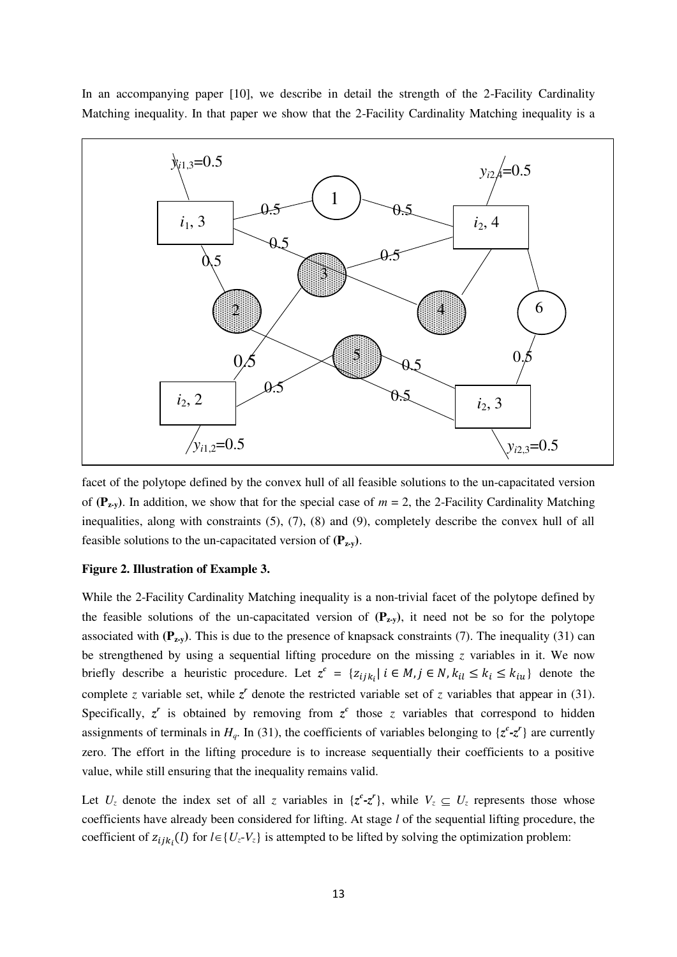In an accompanying paper [10], we describe in detail the strength of the 2-Facility Cardinality Matching inequality. In that paper we show that the 2-Facility Cardinality Matching inequality is a



facet of the polytope defined by the convex hull of all feasible solutions to the un-capacitated version of  $(P_{2y}$ ). In addition, we show that for the special case of  $m = 2$ , the 2-Facility Cardinality Matching inequalities, along with constraints (5), (7), (8) and (9), completely describe the convex hull of all feasible solutions to the un-capacitated version of  $(\mathbf{P}_{\mathbf{z}\cdot\mathbf{y}})$ .

### **Figure 2. Illustration of Example 3.**

While the 2-Facility Cardinality Matching inequality is a non-trivial facet of the polytope defined by the feasible solutions of the un-capacitated version of  $(P_{\mathbf{z},y})$ , it need not be so for the polytope associated with  $(\mathbf{P}_{\mathbf{z}\cdot\mathbf{v}})$ . This is due to the presence of knapsack constraints (7). The inequality (31) can be strengthened by using a sequential lifting procedure on the missing *z* variables in it. We now briefly describe a heuristic procedure. Let  $z^c = \{z_{ijk_i} | i \in M, j \in N, k_{il} \le k_i \le k_{iu}\}\$  denote the complete *z* variable set, while  $z^r$  denote the restricted variable set of *z* variables that appear in (31). Specifically,  $z^r$  is obtained by removing from  $z^c$  those *z* variables that correspond to hidden assignments of terminals in  $H_q$ . In (31), the coefficients of variables belonging to  $\{z^c - z^r\}$  are currently zero. The effort in the lifting procedure is to increase sequentially their coefficients to a positive value, while still ensuring that the inequality remains valid.

Let  $U_z$  denote the index set of all *z* variables in  $\{z^c - z^r\}$ , while  $V_z \subseteq U_z$  represents those whose coefficients have already been considered for lifting. At stage *l* of the sequential lifting procedure, the coefficient of  $z_{ijk_i}(l)$  for  $l \in \{U_z - V_z\}$  is attempted to be lifted by solving the optimization problem: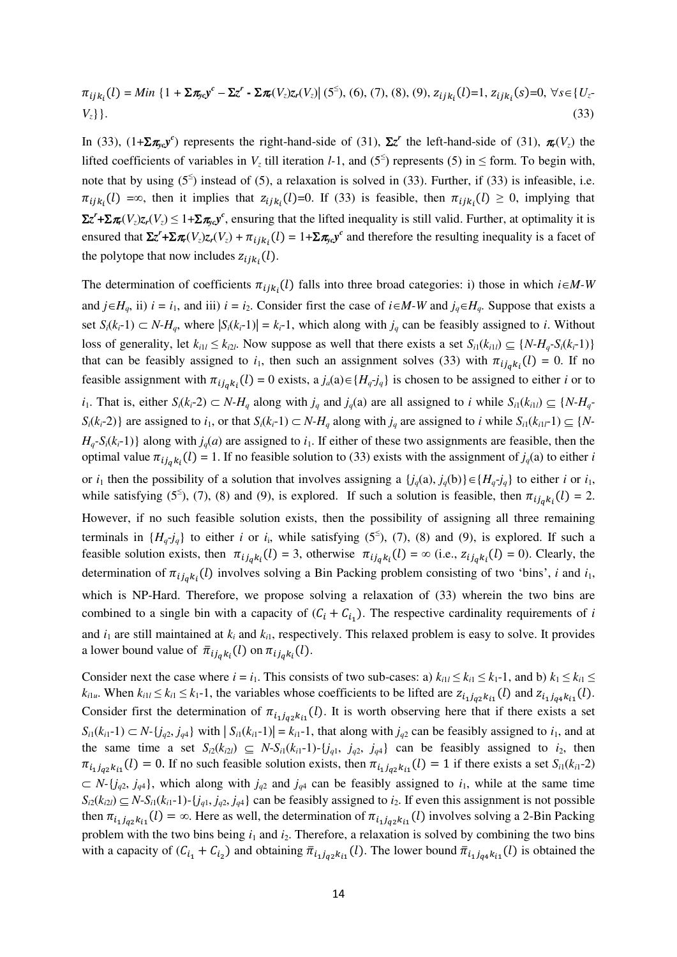$$
\pi_{ijk_i}(l) = Min \{1 + \Sigma \pi_{yc} y^c - \Sigma z^r - \Sigma \pi(V_z) z_r(V_z) | (5^{\leq}), (6), (7), (8), (9), z_{ijk_i}(l) = 1, z_{ijk_i}(s) = 0, \forall s \in \{U_z - V_z\} \}.
$$
\n(33)

In (33),  $(1+\sum_{x} \pi_{y} c)^c$  represents the right-hand-side of (31),  $\Sigma z^r$  the left-hand-side of (31),  $\pi_r(V_z)$  the lifted coefficients of variables in  $V_z$  till iteration *l*-1, and (5<sup>≤</sup>) represents (5) in  $\leq$  form. To begin with, note that by using  $(5^{\le})$  instead of  $(5)$ , a relaxation is solved in  $(33)$ . Further, if  $(33)$  is infeasible, i.e.  $\pi_{ijk_i}(l) = \infty$ , then it implies that  $z_{ijk_i}(l) = 0$ . If (33) is feasible, then  $\pi_{ijk_i}(l) \ge 0$ , implying that  $\Sigma z^r + \Sigma \pi_r(V_z) z_r(V_z) \leq 1 + \Sigma \pi_{yc} y^c$ , ensuring that the lifted inequality is still valid. Further, at optimality it is ensured that  $\Sigma z^r + \Sigma \pi_r(V_z) z_r(V_z) + \pi_{ijk_i}(l) = 1 + \Sigma \pi_{yc} y^c$  and therefore the resulting inequality is a facet of the polytope that now includes  $z_{ijk_i}(l)$ .

The determination of coefficients  $\pi_{ijk}(l)$  falls into three broad categories: i) those in which  $i \in M$ -W and  $j \in H_q$ , ii)  $i = i_1$ , and iii)  $i = i_2$ . Consider first the case of  $i \in M$ -W and  $j_q \in H_q$ . Suppose that exists a set  $S_i(k_i-1) \subset N-H_q$ , where  $|S_i(k_i-1)| = k_i-1$ , which along with  $j_q$  can be feasibly assigned to *i*. Without loss of generality, let  $k_{i1} \le k_{i2}$ . Now suppose as well that there exists a set  $S_{i1}(k_{i1}) \subseteq \{N-H_q-S_i(k_i-1)\}$ that can be feasibly assigned to  $i_1$ , then such an assignment solves (33) with  $\pi_{i j_q k_i}(l) = 0$ . If no feasible assignment with  $\pi_{i_j} k_i(l) = 0$  exists,  $a_j a(a) \in \{H_q \neq j_q\}$  is chosen to be assigned to either *i* or to  $i_1$ . That is, either  $S_i(k_i-2) \subset N-H_q$  along with  $j_q$  and  $j_q(a)$  are all assigned to i while  $S_{i1}(k_{i1}) \subseteq \{N-H_q\}$  $S_i(k_i-2)$  are assigned to  $i_1$ , or that  $S_i(k_i-1) \subset N$ -H<sub>a</sub> along with  $j_a$  are assigned to i while  $S_{i1}(k_{i1}-1) \subseteq \{N-1\}$  $H_q$ -S<sub>i</sub>( $k_i$ -1)} along with  $j_q(a)$  are assigned to  $i_1$ . If either of these two assignments are feasible, then the optimal value  $\pi_{i_j q k_i}(l) = 1$ . If no feasible solution to (33) exists with the assignment of  $j_q(a)$  to either *i* or  $i_1$  then the possibility of a solution that involves assigning a  $\{j_q(a), j_q(b)\}\in \{H_q \cdot j_q\}$  to either *i* or  $i_1$ , while satisfying (5<sup>≤</sup>), (7), (8) and (9), is explored. If such a solution is feasible, then  $\pi_{ij_qk_i}(l) = 2$ . However, if no such feasible solution exists, then the possibility of assigning all three remaining terminals in  $\{H_q \text{-} j_q\}$  to either *i* or *i<sub>i</sub>*, while satisfying (5<sup>≤</sup>), (7), (8) and (9), is explored. If such a feasible solution exists, then  $\pi_{ij_qk_l}(l) = 3$ , otherwise  $\pi_{ij_qk_l}(l) = \infty$  (i.e.,  $z_{ij_qk_l}(l) = 0$ ). Clearly, the determination of  $\pi_{i_j q k_i}(l)$  involves solving a Bin Packing problem consisting of two 'bins', *i* and  $i_1$ , which is NP-Hard. Therefore, we propose solving a relaxation of (33) wherein the two bins are combined to a single bin with a capacity of  $(C_i + C_{i_1})$ . The respective cardinality requirements of *i* and  $i_1$  are still maintained at  $k_i$  and  $k_{i1}$ , respectively. This relaxed problem is easy to solve. It provides a lower bound value of  $\bar{\pi}_{ij_qk_i}(l)$  on  $\pi_{ij_qk_i}(l)$ .

Consider next the case where  $i = i_1$ . This consists of two sub-cases: a)  $k_{i1} \leq k_{i1} \leq k_1$ -1, and b)  $k_1 \leq k_{i1} \leq$  $k_{i1u}$ . When  $k_{i11} \leq k_{i1} \leq k_1-1$ , the variables whose coefficients to be lifted are  $z_{i_1j_{a2}k_{i1}}(l)$  and  $z_{i_1j_{a4}k_{i1}}(l)$ . Consider first the determination of  $\pi_{i_1j_{q2}k_{i1}}(l)$ . It is worth observing here that if there exists a set  $S_{i1}(k_{i1}-1) \subset N$ - $\{j_{q2}, j_{q4}\}$  with  $|S_{i1}(k_{i1}-1)| = k_{i1}-1$ , that along with  $j_{q2}$  can be feasibly assigned to  $i_1$ , and at the same time a set  $S_i(z(k_{i2l}) \subseteq N-S_i(k_{i1}-1)-\{j_{q1}, j_{q2}, j_{q4}\}\)$  can be feasibly assigned to  $i_2$ , then  $\pi_{i_1j_2,k_{i_1}}(l) = 0$ . If no such feasible solution exists, then  $\pi_{i_1j_2,k_{i_1}}(l) = 1$  if there exists a set  $S_{i_1}(k_{i_1}-2)$  $\subset N$ -{*j<sub>q2</sub>*, *j<sub>q4</sub>*}, which along with *j<sub>q2</sub>* and *j<sub>q4</sub>* can be feasibly assigned to *i*<sub>1</sub>, while at the same time  $S_{i2}(k_{i2l}) \subseteq N-S_{i1}(k_{i1}-1)-\{j_{q1}, j_{q2}, j_{q4}\}\)$  can be feasibly assigned to  $i_2$ . If even this assignment is not possible then  $\pi_{i_1j_{\alpha_2}k_{i_1}}(l) = \infty$ . Here as well, the determination of  $\pi_{i_1j_{\alpha_2}k_{i_1}}(l)$  involves solving a 2-Bin Packing problem with the two bins being  $i_1$  and  $i_2$ . Therefore, a relaxation is solved by combining the two bins with a capacity of  $(C_{i_1} + C_{i_2})$  and obtaining  $\bar{\pi}_{i_1 j_{q2} k_{i_1}}(l)$ . The lower bound  $\bar{\pi}_{i_1 j_{q4} k_{i_1}}(l)$  is obtained the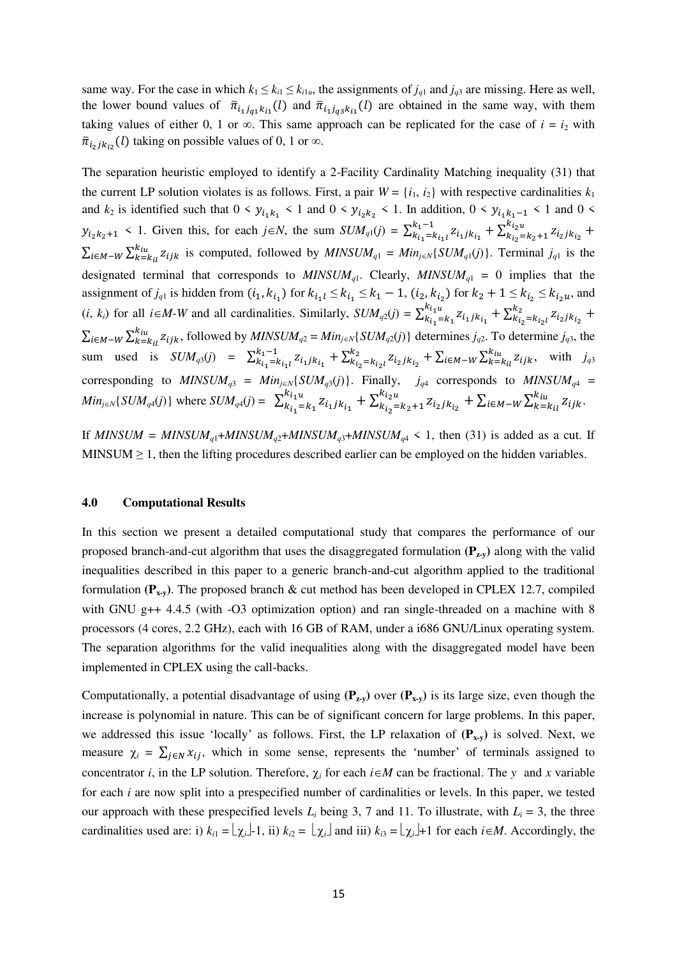same way. For the case in which  $k_1 \leq k_{i1} \leq k_{i1u}$ , the assignments of  $j_{q1}$  and  $j_{q3}$  are missing. Here as well, the lower bound values of  $\bar{\pi}_{i_1j_{a1}k_{i1}}(l)$  and  $\bar{\pi}_{i_1j_{a3}k_{i1}}(l)$  are obtained in the same way, with them taking values of either 0, 1 or  $\infty$ . This same approach can be replicated for the case of  $i = i_2$  with  $\bar{\pi}_{i_2 j k_{i_2}}(l)$  taking on possible values of 0, 1 or  $\infty$ .

The separation heuristic employed to identify a 2-Facility Cardinality Matching inequality (31) that the current LP solution violates is as follows. First, a pair  $W = \{i_1, i_2\}$  with respective cardinalities  $k_1$ and  $k_2$  is identified such that  $0 \le y_{i_1k_1} \le 1$  and  $0 \le y_{i_2k_2} \le 1$ . In addition,  $0 \le y_{i_1k_1-1} \le 1$  and  $0 \le$  $y_{i_2k_2+1}$  < 1. Given this, for each  $j \in N$ , the sum  $SUM_{q_1}(j) = \sum_{k_{i_1}}^{k_1-1} z_{i_1} j_{k_{i_1}}$  $\sum_{k_{i_1} = k_{i_1}l}^{k_1 - 1} z_{i_1 j k_{i_1}} + \sum_{k_{i_2} = k_2 + 1}^{k_{i_2}u} z_{i_2 j k_{i_2}}$  $k_{i_2} = k_2 + 1 \frac{z_{i_2}}{k_2} +$  $\sum_{i \in M} \sum_{k=k_{i}}^{k_{i}u} z_{ijk}$  is computed, followed by  $MINSUM_{q1} = Min_{j \in N} \{SUM_{q1}(j)\}$ . Terminal  $j_{q1}$  is the designated terminal that corresponds to  $MINSUM_{q1}$ . Clearly,  $MINSUM_{q1} = 0$  implies that the assignment of  $j_{q1}$  is hidden from  $(i_1, k_{i_1})$  for  $k_{i_1} \le k_{i_1} \le k_1 - 1$ ,  $(i_2, k_{i_2})$  for  $k_2 + 1 \le k_{i_2} \le k_{i_2}$  and  $(i, k_i)$  for all  $i \in M-W$  and all cardinalities. Similarly,  $SUM_{q2}(j) = \sum_{k_{i_1}=k_1}^{k_{i_1}u} z_{i_1jk_{i_1}}$  $\frac{k_{i_1u}}{k_{i_1} = k_1} z_{i_1jk_{i_1}} + \sum_{k_{i_2} = k_{i_2l}}^{k_2} z_{i_2jk_{i_2}}$  $\sum_{i_2=k_{i_2l}}^{k_2} z_{i_2jk_{i_2}} +$  $\sum_{i \in M-W} \sum_{k=k_{i}l}^{k_{i}u} z_{ijk}$ , followed by  $MINSUM_{q2} = Min_{j \in N} \{SUM_{q2}(j)\}$  determines  $j_{q2}$ . To determine  $j_{q3}$ , the sum used is  $SUM_{q3}(j) = \sum_{k_{i_1} = k_{i_1}l}^{k_1 - 1} z_{i_1 j k_{i_1}}$  $\sum_{k_{i_1}=k_{i_1}l}^{k_1-1} z_{i_1jk_{i_1}} + \sum_{k_{i_2}=k_{i_2}l}^{k_2} z_{i_2jk_{i_2}}$  $\sum_{k_{i_2}=k_{i_2}i}^{k_2} z_{i_2jk_{i_2}} + \sum_{i \in M-W} \sum_{k=k_{i}i}^{k_{i}i} z_{ijk}$ , with  $j_{q3}$ corresponding to  $MINSUM_{q3} = Min_{j \in N} \{SUM_{q3}(j)\}\$ . Finally,  $j_{q4}$  corresponds to  $MINSUM_{q4}$  =  $Min_{j \in N} \{SUM_{q4}(j)\}$  where  $SUM_{q4}(j) = \sum_{k_{i_1}=k_1}^{k_{i_1}u} z_{i_1jk_{i_1}}$  $\frac{k_{i_1u}}{k_{i_1}=k_1} z_{i_1jk_{i_1}} + \sum_{k_{i_2}=k_2+1}^{k_{i_2u}} z_{i_2jk_{i_2}}$  $\sum_{k_{i_2}=k_2+1}^{k_{i_2}} z_{i_2jk_{i_2}} + \sum_{i \in M-W} \sum_{k=k_{i}l}^{k_{iu}} z_{ijk}.$ 

If  $MINSUM = MINSUM_{q1} + MINSUM_{q2} + MINSUM_{q3} + MINSUM_{q4} < 1$ , then (31) is added as a cut. If MINSUM  $\geq$  1, then the lifting procedures described earlier can be employed on the hidden variables.

## **4.0 Computational Results**

In this section we present a detailed computational study that compares the performance of our proposed branch-and-cut algorithm that uses the disaggregated formulation **(Pz-y)** along with the valid inequalities described in this paper to a generic branch-and-cut algorithm applied to the traditional formulation **(Px-y)**. The proposed branch & cut method has been developed in CPLEX 12.7, compiled with GNU g++ 4.4.5 (with -O3 optimization option) and ran single-threaded on a machine with 8 processors (4 cores, 2.2 GHz), each with 16 GB of RAM, under a i686 GNU/Linux operating system. The separation algorithms for the valid inequalities along with the disaggregated model have been implemented in CPLEX using the call-backs.

Computationally, a potential disadvantage of using  $(P_{zv})$  over  $(P_{xv})$  is its large size, even though the increase is polynomial in nature. This can be of significant concern for large problems. In this paper, we addressed this issue 'locally' as follows. First, the LP relaxation of  $(P_{x,y})$  is solved. Next, we measure  $\chi_i = \sum_{j \in N} x_{ij}$ , which in some sense, represents the 'number' of terminals assigned to concentrator *i*, in the LP solution. Therefore,  $\chi_i$  for each  $i \in M$  can be fractional. The *y* and *x* variable for each *i* are now split into a prespecified number of cardinalities or levels. In this paper, we tested our approach with these prespecified levels  $L_i$  being 3, 7 and 11. To illustrate, with  $L_i = 3$ , the three cardinalities used are: i)  $k_{i1} = \lfloor \chi_i \rfloor - 1$ , ii)  $k_{i2} = \lfloor \chi_i \rfloor$  and iii)  $k_{i3} = \lfloor \chi_i \rfloor + 1$  for each  $i \in M$ . Accordingly, the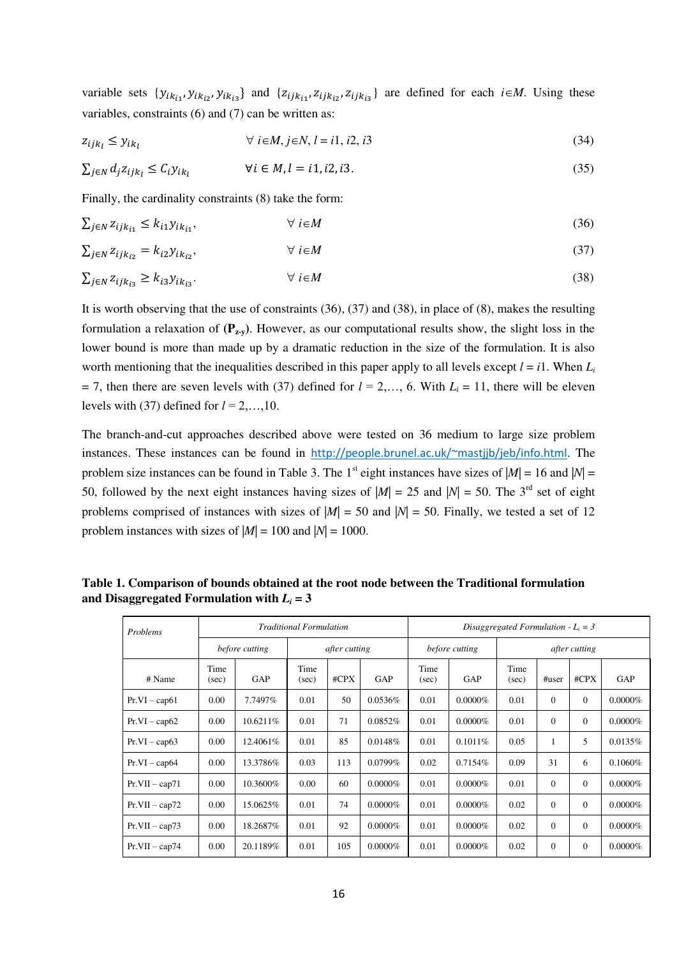variable sets  $\{y_{ik_{i1}}, y_{ik_{i2}}, y_{ik_{i3}}\}$  and  $\{z_{ijk_{i1}}, z_{ijk_{i2}}, z_{ijk_{i3}}\}$  are defined for each  $i \in M$ . Using these variables, constraints (6) and (7) can be written as:

$$
z_{ijk_l} \leq y_{ik_l} \qquad \qquad \forall \ i \in M, j \in N, l = i1, i2, i3 \tag{34}
$$

$$
\sum_{j \in N} d_j z_{ijk_l} \le C_i y_{ik_l} \qquad \forall i \in M, l = i1, i2, i3. \tag{35}
$$

Finally, the cardinality constraints (8) take the form:

$$
\sum_{j \in N} z_{ijk_{i1}} \le k_{i1} y_{ik_{i1}}, \qquad \forall i \in M
$$
\n(36)

$$
\sum_{j \in N} z_{ijk_{iz}} = k_{i2} y_{ik_{iz}}, \qquad \forall i \in M
$$
\n(37)

$$
\sum_{j \in N} z_{ijk_{i3}} \ge k_{i3} y_{ik_{i3}}.\tag{38}
$$

It is worth observing that the use of constraints (36), (37) and (38), in place of (8), makes the resulting formulation a relaxation of  $(\mathbf{P}_{zv})$ . However, as our computational results show, the slight loss in the lower bound is more than made up by a dramatic reduction in the size of the formulation. It is also worth mentioning that the inequalities described in this paper apply to all levels except  $l = i1$ . When  $L_i$  $= 7$ , then there are seven levels with (37) defined for  $l = 2,..., 6$ . With  $L_i = 11$ , there will be eleven levels with (37) defined for  $l = 2, \ldots, 10$ .

The branch-and-cut approaches described above were tested on 36 medium to large size problem instances. These instances can be found in <http://people.brunel.ac.uk/~mastjjb/jeb/info.html>. The problem size instances can be found in Table 3. The 1<sup>st</sup> eight instances have sizes of  $|M| = 16$  and  $|N| =$ 50, followed by the next eight instances having sizes of  $|M| = 25$  and  $|M| = 50$ . The 3<sup>rd</sup> set of eight problems comprised of instances with sizes of  $|M| = 50$  and  $|M| = 50$ . Finally, we tested a set of 12 problem instances with sizes of  $|M| = 100$  and  $|N| = 1000$ .

**Table 1. Comparison of bounds obtained at the root node between the Traditional formulation**  and Disaggregated Formulation with  $L_i = 3$ 

| Problems         |               |                | <b>Traditional Formulation</b> |      |            |               |                | Disaggregated Formulation - $L_i = 3$ |              |          |            |  |
|------------------|---------------|----------------|--------------------------------|------|------------|---------------|----------------|---------------------------------------|--------------|----------|------------|--|
|                  |               | before cutting | after cutting                  |      |            |               | before cutting | after cutting                         |              |          |            |  |
| # Name           | Time<br>(sec) | GAP            | Time<br>(sec)                  | #CPX | GAP        | Time<br>(sec) | GAP            | Time<br>(sec)                         | #user        | $\#CPX$  | GAP        |  |
| $Pr.VI - cap61$  | 0.00          | 7.7497%        | 0.01                           | 50   | 0.0536%    | 0.01          | $0.0000\%$     | 0.01                                  | $\Omega$     | $\Omega$ | $0.0000\%$ |  |
| $Pr.VI - cap62$  | 0.00          | 10.6211%       | 0.01                           | 71   | 0.0852%    | 0.01          | $0.0000\%$     | 0.01                                  | $\Omega$     | $\theta$ | $0.0000\%$ |  |
| $Pr.VI - cap63$  | 0.00          | 12.4061\%      | 0.01                           | 85   | 0.0148%    | 0.01          | 0.1011%        | 0.05                                  | 1            | 5        | 0.0135%    |  |
| $Pr.VI - cap64$  | 0.00          | 13.3786%       | 0.03                           | 113  | 0.0799%    | 0.02          | 0.7154%        | 0.09                                  | 31           | 6        | 0.1060%    |  |
| $Pr.VII - cap71$ | 0.00          | 10.3600%       | 0.00                           | 60   | $0.0000\%$ | 0.01          | $0.0000\%$     | 0.01                                  | $\Omega$     | $\theta$ | $0.0000\%$ |  |
| $Pr.VII - cap72$ | 0.00          | 15.0625%       | 0.01                           | 74   | $0.0000\%$ | 0.01          | $0.0000\%$     | 0.02                                  | $\Omega$     | $\Omega$ | $0.0000\%$ |  |
| $Pr.VII - cap73$ | 0.00          | 18.2687%       | 0.01                           | 92   | $0.0000\%$ | 0.01          | $0.0000\%$     | 0.02                                  | $\Omega$     | $\Omega$ | $0.0000\%$ |  |
| $Pr.VII - cap74$ | 0.00          | 20.1189%       | 0.01                           | 105  | $0.0000\%$ | 0.01          | $0.0000\%$     | 0.02                                  | $\mathbf{0}$ | $\theta$ | $0.0000\%$ |  |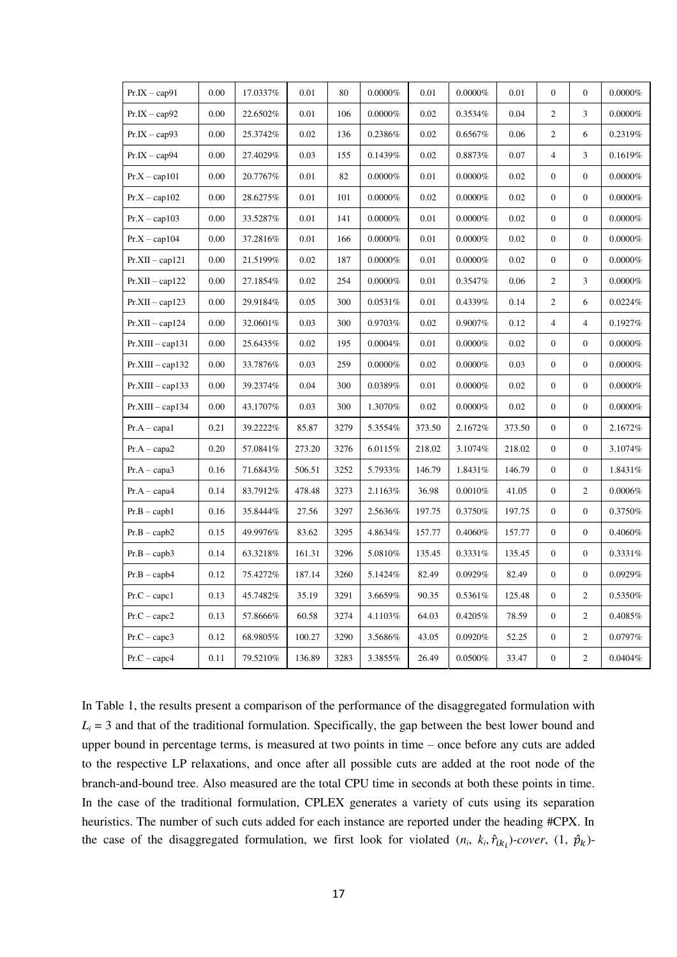| $Pr.IX - cap91$    | 0.00 | 17.0337% | 0.01   | 80   | $0.0000\%$ | 0.01   | $0.0000\%$ | 0.01   | $\boldsymbol{0}$ | $\overline{0}$   | $0.0000\%$ |
|--------------------|------|----------|--------|------|------------|--------|------------|--------|------------------|------------------|------------|
| $Pr.IX - cap92$    | 0.00 | 22.6502% | 0.01   | 106  | $0.0000\%$ | 0.02   | 0.3534%    | 0.04   | $\overline{c}$   | 3                | $0.0000\%$ |
| $Pr.IX - cap93$    | 0.00 | 25.3742% | 0.02   | 136  | 0.2386%    | 0.02   | 0.6567%    | 0.06   | $\overline{2}$   | 6                | 0.2319%    |
| $Pr.IX - cap94$    | 0.00 | 27.4029% | 0.03   | 155  | 0.1439%    | 0.02   | 0.8873%    | 0.07   | $\overline{4}$   | 3                | 0.1619%    |
| $Pr.X - cap101$    | 0.00 | 20.7767% | 0.01   | 82   | $0.0000\%$ | 0.01   | $0.0000\%$ | 0.02   | $\boldsymbol{0}$ | $\boldsymbol{0}$ | $0.0000\%$ |
| $Pr.X - cap102$    | 0.00 | 28.6275% | 0.01   | 101  | $0.0000\%$ | 0.02   | $0.0000\%$ | 0.02   | $\boldsymbol{0}$ | $\overline{0}$   | $0.0000\%$ |
| $Pr.X - cap103$    | 0.00 | 33.5287% | 0.01   | 141  | $0.0000\%$ | 0.01   | $0.0000\%$ | 0.02   | $\boldsymbol{0}$ | $\mathbf{0}$     | $0.0000\%$ |
| $Pr.X - cap104$    | 0.00 | 37.2816% | 0.01   | 166  | $0.0000\%$ | 0.01   | $0.0000\%$ | 0.02   | $\mathbf{0}$     | $\mathbf{0}$     | $0.0000\%$ |
| $Pr.XII - cap121$  | 0.00 | 21.5199% | 0.02   | 187  | $0.0000\%$ | 0.01   | $0.0000\%$ | 0.02   | $\boldsymbol{0}$ | $\mathbf{0}$     | $0.0000\%$ |
| $Pr.XII - cap122$  | 0.00 | 27.1854% | 0.02   | 254  | $0.0000\%$ | 0.01   | 0.3547%    | 0.06   | $\overline{2}$   | 3                | $0.0000\%$ |
| $Pr.XII - cap123$  | 0.00 | 29.9184% | 0.05   | 300  | 0.0531%    | 0.01   | 0.4339%    | 0.14   | $\overline{c}$   | 6                | 0.0224%    |
| $Pr.XII - cap124$  | 0.00 | 32.0601% | 0.03   | 300  | 0.9703%    | 0.02   | 0.9007%    | 0.12   | $\overline{4}$   | $\overline{4}$   | 0.1927%    |
| $Pr.XIII - cap131$ | 0.00 | 25.6435% | 0.02   | 195  | $0.0004\%$ | 0.01   | $0.0000\%$ | 0.02   | $\boldsymbol{0}$ | $\mathbf{0}$     | $0.0000\%$ |
| $Pr.XIII - cap132$ | 0.00 | 33.7876% | 0.03   | 259  | $0.0000\%$ | 0.02   | $0.0000\%$ | 0.03   | $\boldsymbol{0}$ | $\mathbf{0}$     | $0.0000\%$ |
| $Pr.XIII - cap133$ | 0.00 | 39.2374% | 0.04   | 300  | 0.0389%    | 0.01   | $0.0000\%$ | 0.02   | $\mathbf{0}$     | $\mathbf{0}$     | $0.0000\%$ |
| $Pr.XIII - cap134$ | 0.00 | 43.1707% | 0.03   | 300  | 1.3070%    | 0.02   | $0.0000\%$ | 0.02   | $\boldsymbol{0}$ | $\boldsymbol{0}$ | $0.0000\%$ |
| $Pr.A - capa1$     | 0.21 | 39.2222% | 85.87  | 3279 | 5.3554%    | 373.50 | 2.1672%    | 373.50 | $\boldsymbol{0}$ | $\mathbf{0}$     | 2.1672%    |
| $Pr.A - capa2$     | 0.20 | 57.0841% | 273.20 | 3276 | 6.0115%    | 218.02 | 3.1074%    | 218.02 | $\boldsymbol{0}$ | $\mathbf{0}$     | 3.1074%    |
| $Pr.A - capa3$     | 0.16 | 71.6843% | 506.51 | 3252 | 5.7933%    | 146.79 | 1.8431%    | 146.79 | $\overline{0}$   | $\mathbf{0}$     | 1.8431%    |
| $Pr.A - capa4$     | 0.14 | 83.7912% | 478.48 | 3273 | 2.1163%    | 36.98  | 0.0010%    | 41.05  | $\boldsymbol{0}$ | $\overline{c}$   | $0.0006\%$ |
| $Pr.B - capb1$     | 0.16 | 35.8444% | 27.56  | 3297 | 2.5636%    | 197.75 | 0.3750%    | 197.75 | $\boldsymbol{0}$ | $\boldsymbol{0}$ | 0.3750%    |
| $Pr.B - capb2$     | 0.15 | 49.9976% | 83.62  | 3295 | 4.8634%    | 157.77 | 0.4060%    | 157.77 | $\boldsymbol{0}$ | $\overline{0}$   | 0.4060%    |
| $Pr.B - capb3$     | 0.14 | 63.3218% | 161.31 | 3296 | 5.0810%    | 135.45 | 0.3331%    | 135.45 | $\boldsymbol{0}$ | $\boldsymbol{0}$ | 0.3331%    |
| $Pr.B - capb4$     | 0.12 | 75.4272% | 187.14 | 3260 | 5.1424%    | 82.49  | 0.0929%    | 82.49  | $\overline{0}$   | $\boldsymbol{0}$ | 0.0929%    |
| $Pr.C - capc1$     | 0.13 | 45.7482% | 35.19  | 3291 | 3.6659%    | 90.35  | 0.5361%    | 125.48 | $\overline{0}$   | 2                | 0.5350%    |
| $Pr.C - capc2$     | 0.13 | 57.8666% | 60.58  | 3274 | 4.1103%    | 64.03  | $0.4205\%$ | 78.59  | $\boldsymbol{0}$ | $\overline{2}$   | 0.4085%    |
| $Pr.C - capc3$     | 0.12 | 68.9805% | 100.27 | 3290 | 3.5686%    | 43.05  | 0.0920%    | 52.25  | $\overline{0}$   | $\overline{c}$   | 0.0797%    |
| $Pr.C - capc4$     | 0.11 | 79.5210% | 136.89 | 3283 | 3.3855%    | 26.49  | 0.0500%    | 33.47  | $\boldsymbol{0}$ | $\overline{c}$   | 0.0404%    |

In Table 1, the results present a comparison of the performance of the disaggregated formulation with  $L_i = 3$  and that of the traditional formulation. Specifically, the gap between the best lower bound and upper bound in percentage terms, is measured at two points in time – once before any cuts are added to the respective LP relaxations, and once after all possible cuts are added at the root node of the branch-and-bound tree. Also measured are the total CPU time in seconds at both these points in time. In the case of the traditional formulation, CPLEX generates a variety of cuts using its separation heuristics. The number of such cuts added for each instance are reported under the heading #CPX. In the case of the disaggregated formulation, we first look for violated  $(n_i, k_i, \hat{r}_{ik_i})$ -*cover*,  $(1, \hat{p}_k)$ -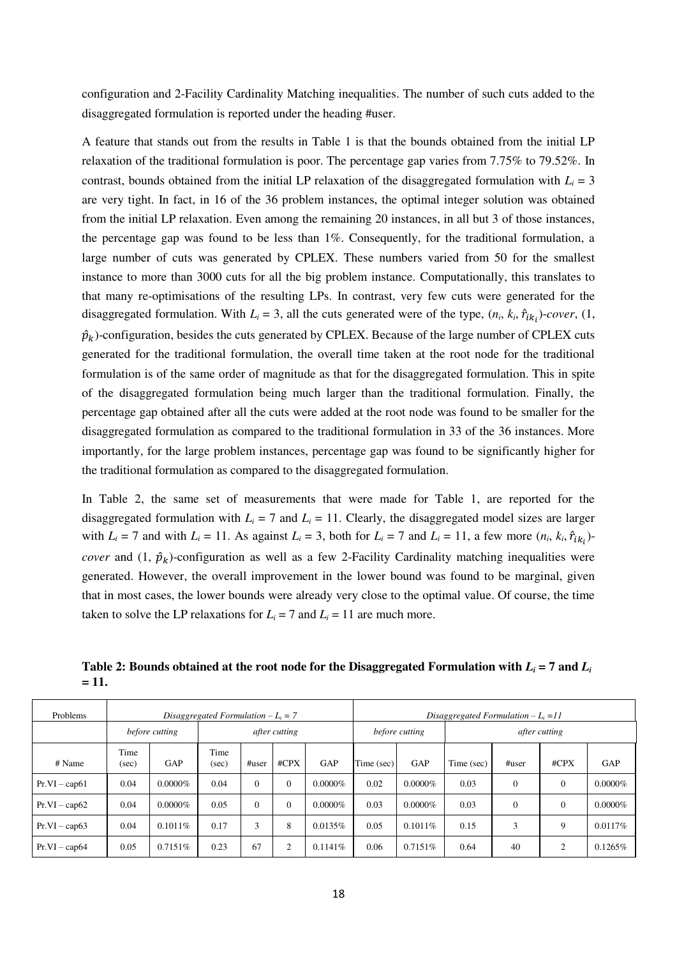configuration and 2-Facility Cardinality Matching inequalities. The number of such cuts added to the disaggregated formulation is reported under the heading #user.

A feature that stands out from the results in Table 1 is that the bounds obtained from the initial LP relaxation of the traditional formulation is poor. The percentage gap varies from 7.75% to 79.52%. In contrast, bounds obtained from the initial LP relaxation of the disaggregated formulation with  $L<sub>i</sub> = 3$ are very tight. In fact, in 16 of the 36 problem instances, the optimal integer solution was obtained from the initial LP relaxation. Even among the remaining 20 instances, in all but 3 of those instances, the percentage gap was found to be less than 1%. Consequently, for the traditional formulation, a large number of cuts was generated by CPLEX. These numbers varied from 50 for the smallest instance to more than 3000 cuts for all the big problem instance. Computationally, this translates to that many re-optimisations of the resulting LPs. In contrast, very few cuts were generated for the disaggregated formulation. With  $L_i = 3$ , all the cuts generated were of the type,  $(n_i, k_i, \hat{r}_{ik_i})$ -*cover*,  $(1,$  $\hat{p}_k$ )-configuration, besides the cuts generated by CPLEX. Because of the large number of CPLEX cuts generated for the traditional formulation, the overall time taken at the root node for the traditional formulation is of the same order of magnitude as that for the disaggregated formulation. This in spite of the disaggregated formulation being much larger than the traditional formulation. Finally, the percentage gap obtained after all the cuts were added at the root node was found to be smaller for the disaggregated formulation as compared to the traditional formulation in 33 of the 36 instances. More importantly, for the large problem instances, percentage gap was found to be significantly higher for the traditional formulation as compared to the disaggregated formulation.

In Table 2, the same set of measurements that were made for Table 1, are reported for the disaggregated formulation with  $L_i = 7$  and  $L_i = 11$ . Clearly, the disaggregated model sizes are larger with  $L_i = 7$  and with  $L_i = 11$ . As against  $L_i = 3$ , both for  $L_i = 7$  and  $L_i = 11$ , a few more  $(n_i, k_i, \hat{r}_{ik_i})$ *cover* and  $(1, \hat{p}_k)$ -configuration as well as a few 2-Facility Cardinality matching inequalities were generated. However, the overall improvement in the lower bound was found to be marginal, given that in most cases, the lower bounds were already very close to the optimal value. Of course, the time taken to solve the LP relaxations for  $L_i = 7$  and  $L_i = 11$  are much more.

**Table 2: Bounds obtained at the root node for the Disaggregated Formulation with** *L<sup>i</sup>*  **= 7 and** *L<sup>i</sup>* **= 11.** 

| Problems        | Disaggregated Formulation $-L_i = 7$ |                |                      |       |         |            |                | Disaggregated Formulation $-L_i = 11$ |                      |           |          |            |  |  |  |
|-----------------|--------------------------------------|----------------|----------------------|-------|---------|------------|----------------|---------------------------------------|----------------------|-----------|----------|------------|--|--|--|
|                 |                                      | before cutting | <i>after cutting</i> |       |         |            | before cutting |                                       | <i>after cutting</i> |           |          |            |  |  |  |
| # Name          | Time<br>(sec)                        | GAP            | Time<br>(sec)        | #user | $\#CPX$ | <b>GAP</b> | Time (sec)     | GAP                                   | Time (sec)           | $\#$ user | $\#CPX$  | <b>GAP</b> |  |  |  |
| $Pr.VI - cap61$ | 0.04                                 | $0.0000\%$     | 0.04                 |       | 0       | $0.0000\%$ | 0.02           | $0.0000\%$                            | 0.03                 | $\Omega$  | $\theta$ | $0.0000\%$ |  |  |  |
| $Pr.VI - cap62$ | 0.04                                 | $0.0000\%$     | 0.05                 | 0     | 0       | $0.0000\%$ | 0.03           | $0.0000\%$                            | 0.03                 | $\Omega$  | $\Omega$ | $0.0000\%$ |  |  |  |
| $Pr.VI - cap63$ | 0.04                                 | $0.1011\%$     | 0.17                 | 3     | 8       | 0.0135%    | 0.05           | 0.1011%                               | 0.15                 | 3         | 9        | 0.0117%    |  |  |  |
| $Pr.VI - cap64$ | 0.05                                 | 0.7151%        | 0.23                 | 67    | 2       | $0.1141\%$ | 0.06           | 0.7151\%                              | 0.64                 | 40        | 2        | 0.1265%    |  |  |  |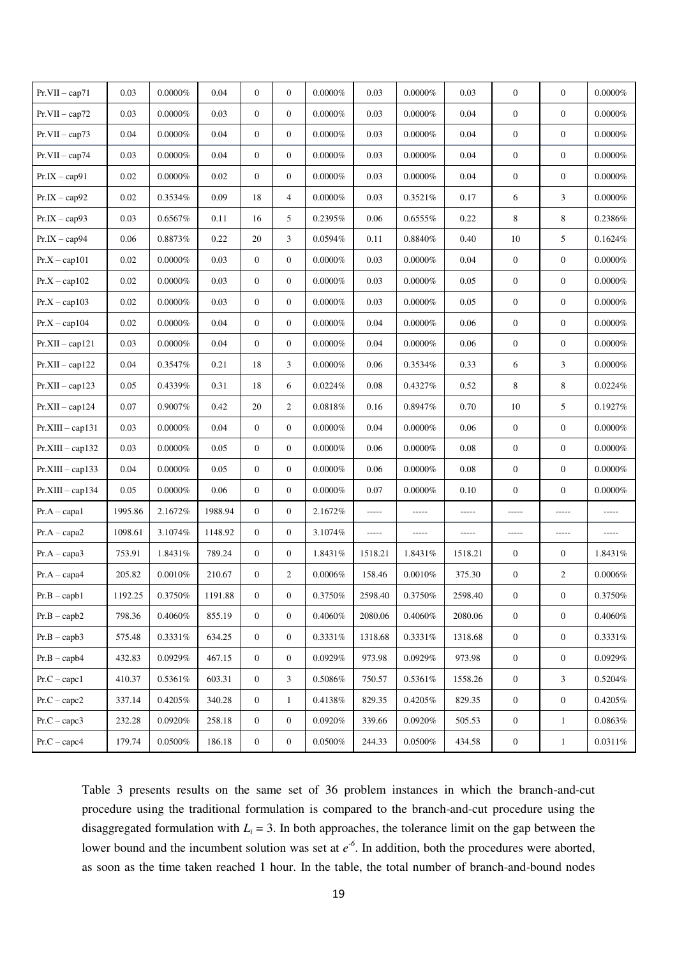| $Pr.VII - cap71$   | 0.03     | $0.0000\%$ | 0.04     | $\mathbf{0}$     | $\overline{0}$   | $0.0000\%$ | 0.03    | $0.0000\%$ | 0.03    | $\boldsymbol{0}$ | $\mathbf{0}$     | $0.0000\%$ |
|--------------------|----------|------------|----------|------------------|------------------|------------|---------|------------|---------|------------------|------------------|------------|
| $Pr.VII - cap72$   | 0.03     | $0.0000\%$ | 0.03     | $\mathbf{0}$     | $\mathbf{0}$     | $0.0000\%$ | 0.03    | $0.0000\%$ | 0.04    | $\boldsymbol{0}$ | $\boldsymbol{0}$ | $0.0000\%$ |
| $Pr.VII - cap73$   | 0.04     | $0.0000\%$ | 0.04     | $\mathbf{0}$     | $\overline{0}$   | $0.0000\%$ | 0.03    | $0.0000\%$ | 0.04    | $\boldsymbol{0}$ | $\mathbf{0}$     | $0.0000\%$ |
| $Pr.VII - cap74$   | 0.03     | $0.0000\%$ | 0.04     | $\mathbf{0}$     | $\overline{0}$   | $0.0000\%$ | 0.03    | $0.0000\%$ | 0.04    | $\boldsymbol{0}$ | $\boldsymbol{0}$ | $0.0000\%$ |
| $Pr.IX - cap91$    | $0.02\,$ | $0.0000\%$ | $0.02\,$ | $\mathbf{0}$     | $\mathbf{0}$     | $0.0000\%$ | 0.03    | $0.0000\%$ | 0.04    | $\boldsymbol{0}$ | $\boldsymbol{0}$ | $0.0000\%$ |
| $Pr.X - cap92$     | 0.02     | 0.3534%    | 0.09     | 18               | $\overline{4}$   | $0.0000\%$ | 0.03    | 0.3521%    | 0.17    | 6                | 3                | $0.0000\%$ |
| $Pr.IX - cap93$    | 0.03     | 0.6567%    | 0.11     | 16               | 5                | 0.2395%    | 0.06    | 0.6555%    | 0.22    | 8                | $\,8\,$          | 0.2386%    |
| $Pr.IX - cap94$    | 0.06     | 0.8873%    | 0.22     | 20               | 3                | 0.0594%    | 0.11    | 0.8840%    | 0.40    | 10               | 5                | 0.1624%    |
| $Pr.X - cap101$    | 0.02     | $0.0000\%$ | 0.03     | $\overline{0}$   | $\overline{0}$   | $0.0000\%$ | 0.03    | $0.0000\%$ | 0.04    | $\mathbf{0}$     | $\mathbf{0}$     | $0.0000\%$ |
| $Pr.X - cap102$    | 0.02     | $0.0000\%$ | 0.03     | $\mathbf{0}$     | $\overline{0}$   | $0.0000\%$ | 0.03    | $0.0000\%$ | 0.05    | $\boldsymbol{0}$ | $\mathbf{0}$     | $0.0000\%$ |
| $Pr.X - cap103$    | 0.02     | $0.0000\%$ | 0.03     | $\mathbf{0}$     | $\overline{0}$   | $0.0000\%$ | 0.03    | $0.0000\%$ | 0.05    | $\mathbf{0}$     | $\mathbf{0}$     | $0.0000\%$ |
| $Pr.X - cap104$    | 0.02     | $0.0000\%$ | 0.04     | $\boldsymbol{0}$ | $\overline{0}$   | $0.0000\%$ | 0.04    | $0.0000\%$ | 0.06    | $\boldsymbol{0}$ | $\mathbf{0}$     | $0.0000\%$ |
| $Pr.XII - cap121$  | 0.03     | $0.0000\%$ | $0.04\,$ | $\overline{0}$   | $\overline{0}$   | $0.0000\%$ | 0.04    | $0.0000\%$ | 0.06    | $\boldsymbol{0}$ | $\mathbf{0}$     | $0.0000\%$ |
| $Pr.XII - cap122$  | 0.04     | 0.3547%    | 0.21     | 18               | 3                | $0.0000\%$ | 0.06    | 0.3534%    | 0.33    | 6                | 3                | $0.0000\%$ |
| $Pr.XII - cap123$  | 0.05     | 0.4339%    | 0.31     | 18               | 6                | 0.0224%    | 0.08    | 0.4327%    | 0.52    | 8                | 8                | 0.0224%    |
| $Pr.XII - cap124$  | $0.07\,$ | $0.9007\%$ | 0.42     | 20               | $\mathbf{2}$     | $0.0818\%$ | 0.16    | 0.8947%    | 0.70    | 10               | 5                | 0.1927%    |
| $Pr.XIII - cap131$ | 0.03     | $0.0000\%$ | 0.04     | $\mathbf{0}$     | $\overline{0}$   | $0.0000\%$ | 0.04    | $0.0000\%$ | 0.06    | $\boldsymbol{0}$ | $\boldsymbol{0}$ | $0.0000\%$ |
| $Pr.XIII - cap132$ | 0.03     | $0.0000\%$ | 0.05     | $\mathbf{0}$     | $\mathbf{0}$     | $0.0000\%$ | 0.06    | $0.0000\%$ | 0.08    | $\boldsymbol{0}$ | $\mathbf{0}$     | $0.0000\%$ |
| $Pr.XIII - cap133$ | 0.04     | $0.0000\%$ | 0.05     | $\overline{0}$   | $\overline{0}$   | $0.0000\%$ | 0.06    | $0.0000\%$ | 0.08    | $\boldsymbol{0}$ | $\boldsymbol{0}$ | $0.0000\%$ |
| $Pr.XIII - cap134$ | 0.05     | $0.0000\%$ | $0.06\,$ | $\mathbf{0}$     | $\mathbf{0}$     | $0.0000\%$ | 0.07    | $0.0000\%$ | 0.10    | $\mathbf{0}$     | $\mathbf{0}$     | $0.0000\%$ |
| $Pr.A - capa1$     | 1995.86  | 2.1672%    | 1988.94  | $\mathbf{0}$     | $\mathbf{0}$     | 2.1672%    | -----   | -----      | -----   | -----            | -----            | -----      |
| $Pr.A - capa2$     | 1098.61  | 3.1074%    | 1148.92  | $\boldsymbol{0}$ | $\overline{0}$   | 3.1074%    | -----   | -----      | -----   | -----            | -----            | -----      |
| $Pr.A - capa3$     | 753.91   | 1.8431%    | 789.24   | $\boldsymbol{0}$ | $\overline{0}$   | 1.8431%    | 1518.21 | 1.8431%    | 1518.21 | $\boldsymbol{0}$ | $\boldsymbol{0}$ | 1.8431%    |
| $Pr.A - capa4$     | 205.82   | 0.0010%    | 210.67   | $\boldsymbol{0}$ | $\overline{c}$   | 0.0006%    | 158.46  | 0.0010%    | 375.30  | $\boldsymbol{0}$ | $\overline{2}$   | $0.0006\%$ |
| $Pr.B - capb1$     | 1192.25  | 0.3750%    | 1191.88  | $\boldsymbol{0}$ | $\overline{0}$   | 0.3750%    | 2598.40 | 0.3750%    | 2598.40 | $\boldsymbol{0}$ | $\overline{0}$   | 0.3750%    |
| $Pr.B - capb2$     | 798.36   | $0.4060\%$ | 855.19   | $\overline{0}$   | $\overline{0}$   | 0.4060%    | 2080.06 | 0.4060%    | 2080.06 | $\boldsymbol{0}$ | $\mathbf{0}$     | 0.4060%    |
| $Pr.B - capb3$     | 575.48   | 0.3331%    | 634.25   | $\overline{0}$   | $\overline{0}$   | 0.3331%    | 1318.68 | 0.3331%    | 1318.68 | $\boldsymbol{0}$ | $\overline{0}$   | 0.3331%    |
| $Pr.B - capb4$     | 432.83   | $0.0929\%$ | 467.15   | $\mathbf{0}$     | $\mathbf{0}$     | $0.0929\%$ | 973.98  | 0.0929%    | 973.98  | $\boldsymbol{0}$ | $\boldsymbol{0}$ | 0.0929%    |
| $Pr.C - capc1$     | 410.37   | 0.5361%    | 603.31   | $\mathbf{0}$     | 3                | 0.5086%    | 750.57  | 0.5361%    | 1558.26 | $\boldsymbol{0}$ | 3                | 0.5204%    |
| $Pr.C - capc2$     | 337.14   | 0.4205%    | 340.28   | $\mathbf{0}$     | $\mathbf{1}$     | 0.4138%    | 829.35  | 0.4205%    | 829.35  | $\boldsymbol{0}$ | $\boldsymbol{0}$ | $0.4205\%$ |
| $Pr.C - capc3$     | 232.28   | 0.0920%    | 258.18   | $\mathbf{0}$     | $\boldsymbol{0}$ | $0.0920\%$ | 339.66  | $0.0920\%$ | 505.53  | $\boldsymbol{0}$ | $\mathbf{1}$     | $0.0863\%$ |
| $Pr.C - capc4$     | 179.74   | $0.0500\%$ | 186.18   | $\boldsymbol{0}$ | $\boldsymbol{0}$ | 0.0500%    | 244.33  | $0.0500\%$ | 434.58  | $\boldsymbol{0}$ | $\,1$            | $0.0311\%$ |

Table 3 presents results on the same set of 36 problem instances in which the branch-and-cut procedure using the traditional formulation is compared to the branch-and-cut procedure using the disaggregated formulation with  $L<sub>i</sub> = 3$ . In both approaches, the tolerance limit on the gap between the lower bound and the incumbent solution was set at  $e^{-6}$ . In addition, both the procedures were aborted, as soon as the time taken reached 1 hour. In the table, the total number of branch-and-bound nodes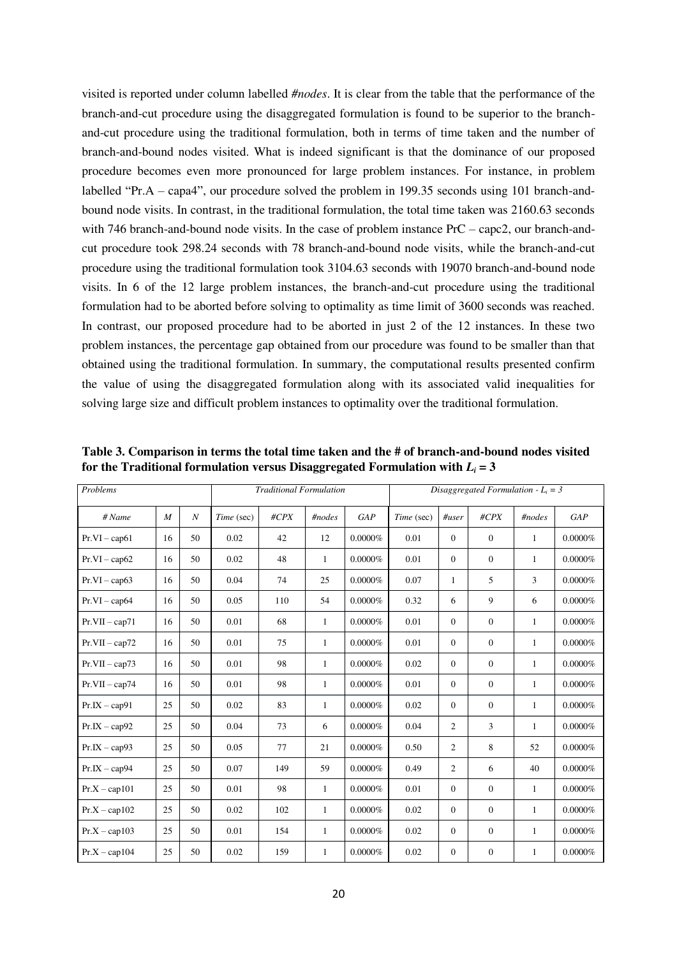visited is reported under column labelled *#nodes*. It is clear from the table that the performance of the branch-and-cut procedure using the disaggregated formulation is found to be superior to the branchand-cut procedure using the traditional formulation, both in terms of time taken and the number of branch-and-bound nodes visited. What is indeed significant is that the dominance of our proposed procedure becomes even more pronounced for large problem instances. For instance, in problem labelled "Pr.A – capa4", our procedure solved the problem in 199.35 seconds using 101 branch-andbound node visits. In contrast, in the traditional formulation, the total time taken was 2160.63 seconds with 746 branch-and-bound node visits. In the case of problem instance PrC – capc2, our branch-andcut procedure took 298.24 seconds with 78 branch-and-bound node visits, while the branch-and-cut procedure using the traditional formulation took 3104.63 seconds with 19070 branch-and-bound node visits. In 6 of the 12 large problem instances, the branch-and-cut procedure using the traditional formulation had to be aborted before solving to optimality as time limit of 3600 seconds was reached. In contrast, our proposed procedure had to be aborted in just 2 of the 12 instances. In these two problem instances, the percentage gap obtained from our procedure was found to be smaller than that obtained using the traditional formulation. In summary, the computational results presented confirm the value of using the disaggregated formulation along with its associated valid inequalities for solving large size and difficult problem instances to optimality over the traditional formulation.

| Problems         |                  |                  |            | <b>Traditional Formulation</b> |              |            | Disaggregated Formulation - $L_i = 3$ |                |                |              |            |
|------------------|------------------|------------------|------------|--------------------------------|--------------|------------|---------------------------------------|----------------|----------------|--------------|------------|
| # Name           | $\boldsymbol{M}$ | $\boldsymbol{N}$ | Time (sec) | $\#CPX$                        | #nodes       | GAP        | Time (sec)                            | $H$ user       | $\#CPX$        | #nodes       | GAP        |
| $Pr.VI - cap61$  | 16               | 50               | 0.02       | 42                             | 12           | $0.0000\%$ | 0.01                                  | $\mathbf{0}$   | $\mathbf{0}$   | $\mathbf{1}$ | $0.0000\%$ |
| $Pr.VI - cap62$  | 16               | 50               | 0.02       | 48                             | $\mathbf{1}$ | $0.0000\%$ | 0.01                                  | $\mathbf{0}$   | $\overline{0}$ | 1            | $0.0000\%$ |
| $Pr.VI - cap63$  | 16               | 50               | 0.04       | 74                             | 25           | $0.0000\%$ | 0.07                                  | 1              | 5              | 3            | $0.0000\%$ |
| $Pr.VI - cap64$  | 16               | 50               | 0.05       | 110                            | 54           | $0.0000\%$ | 0.32                                  | 6              | 9              | 6            | $0.0000\%$ |
| $Pr.VII - cap71$ | 16               | 50               | 0.01       | 68                             | $\mathbf{1}$ | $0.0000\%$ | 0.01                                  | $\mathbf{0}$   | $\overline{0}$ | $\mathbf{1}$ | $0.0000\%$ |
| $Pr.VII - cap72$ | 16               | 50               | 0.01       | 75                             | $\mathbf{1}$ | $0.0000\%$ | 0.01                                  | $\mathbf{0}$   | $\overline{0}$ | $\mathbf{1}$ | $0.0000\%$ |
| $Pr.VII - cap73$ | 16               | 50               | 0.01       | 98                             | $\mathbf{1}$ | $0.0000\%$ | 0.02                                  | $\mathbf{0}$   | $\mathbf{0}$   | $\mathbf{1}$ | $0.0000\%$ |
| $Pr.VII - cap74$ | 16               | 50               | 0.01       | 98                             | $\mathbf{1}$ | $0.0000\%$ | 0.01                                  | $\mathbf{0}$   | $\overline{0}$ | $\mathbf{1}$ | $0.0000\%$ |
| $Pr.IX - cap91$  | 25               | 50               | 0.02       | 83                             | $\mathbf{1}$ | $0.0000\%$ | 0.02                                  | $\Omega$       | $\overline{0}$ | $\mathbf{1}$ | $0.0000\%$ |
| $Pr.IX - cap92$  | 25               | 50               | 0.04       | 73                             | 6            | $0.0000\%$ | 0.04                                  | $\overline{c}$ | 3              | $\mathbf{1}$ | $0.0000\%$ |
| $Pr.IX - cap93$  | 25               | 50               | 0.05       | 77                             | 21           | $0.0000\%$ | 0.50                                  | $\overline{c}$ | 8              | 52           | $0.0000\%$ |
| $Pr.IX - cap94$  | 25               | 50               | 0.07       | 149                            | 59           | $0.0000\%$ | 0.49                                  | $\overline{c}$ | 6              | 40           | $0.0000\%$ |
| $Pr.X - cap101$  | 25               | 50               | 0.01       | 98                             | $\mathbf{1}$ | $0.0000\%$ | 0.01                                  | $\mathbf{0}$   | $\overline{0}$ | $\mathbf{1}$ | $0.0000\%$ |
| $Pr.X - cap102$  | 25               | 50               | 0.02       | 102                            | $\mathbf{1}$ | $0.0000\%$ | 0.02                                  | $\mathbf{0}$   | $\overline{0}$ | $\mathbf{1}$ | $0.0000\%$ |
| $Pr.X - cap103$  | 25               | 50               | 0.01       | 154                            | $\mathbf{1}$ | $0.0000\%$ | 0.02                                  | $\mathbf{0}$   | $\overline{0}$ | $\mathbf{1}$ | $0.0000\%$ |
| $Pr.X - cap104$  | 25               | 50               | 0.02       | 159                            | $\mathbf{1}$ | $0.0000\%$ | 0.02                                  | $\mathbf{0}$   | $\mathbf{0}$   | 1            | $0.0000\%$ |

**Table 3. Comparison in terms the total time taken and the # of branch-and-bound nodes visited**  for the Traditional formulation versus Disaggregated Formulation with  $L_i = 3$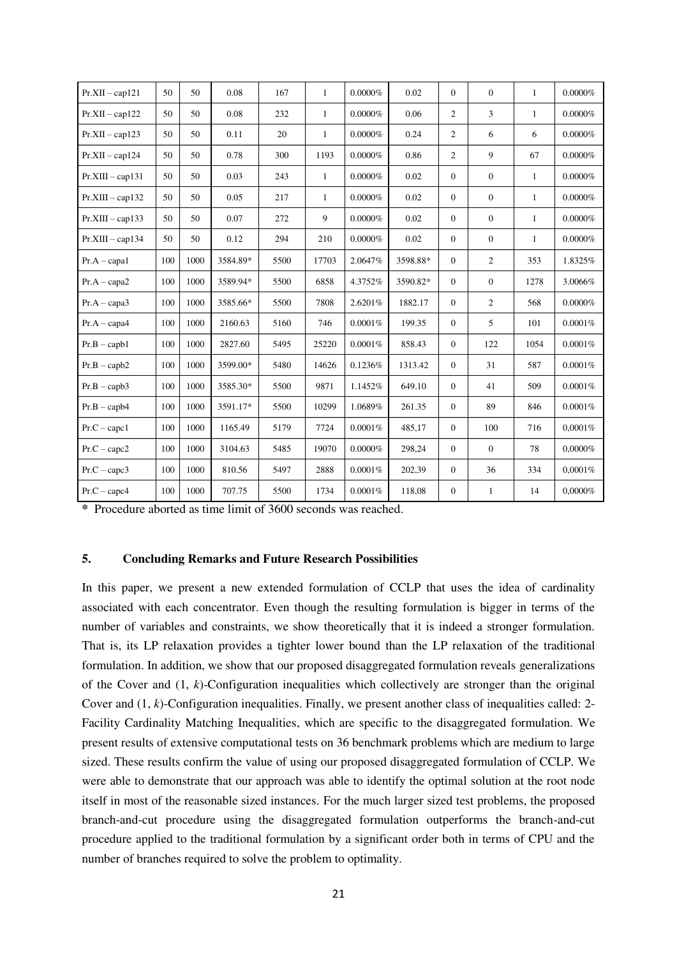| $Pr.XII - cap121$  | 50  | 50   | 0.08     | 167  | $\mathbf{1}$ | $0.0000\%$ | 0.02     | $\Omega$       | $\overline{0}$ | $\mathbf{1}$ | $0.0000\%$ |
|--------------------|-----|------|----------|------|--------------|------------|----------|----------------|----------------|--------------|------------|
| $Pr.XII - cap122$  | 50  | 50   | 0.08     | 232  | $\mathbf{1}$ | $0.0000\%$ | 0.06     | 2              | $\overline{3}$ | $\mathbf{1}$ | $0.0000\%$ |
| $Pr.XII - cap123$  | 50  | 50   | 0.11     | 20   | $\mathbf{1}$ | $0.0000\%$ | 0.24     | $\overline{2}$ | 6              | 6            | $0.0000\%$ |
| $Pr.XII - cap124$  | 50  | 50   | 0.78     | 300  | 1193         | $0.0000\%$ | 0.86     | 2              | 9              | 67           | $0.0000\%$ |
| $Pr.XIII - cap131$ | 50  | 50   | 0.03     | 243  | $\mathbf{1}$ | $0.0000\%$ | 0.02     | $\mathbf{0}$   | $\overline{0}$ | $\mathbf{1}$ | $0.0000\%$ |
| $Pr.XIII - cap132$ | 50  | 50   | 0.05     | 217  | $\mathbf{1}$ | $0.0000\%$ | 0.02     | $\mathbf{0}$   | $\overline{0}$ | $\mathbf{1}$ | $0.0000\%$ |
| $Pr.XIII - cap133$ | 50  | 50   | 0.07     | 272  | 9            | $0.0000\%$ | 0.02     | $\mathbf{0}$   | $\overline{0}$ | $\mathbf{1}$ | $0.0000\%$ |
| $Pr.XIII - cap134$ | 50  | 50   | 0.12     | 294  | 210          | $0.0000\%$ | 0.02     | $\theta$       | $\overline{0}$ | $\mathbf{1}$ | $0.0000\%$ |
| $Pr.A - capa1$     | 100 | 1000 | 3584.89* | 5500 | 17703        | 2.0647%    | 3598.88* | $\Omega$       | $\overline{2}$ | 353          | 1.8325%    |
| $Pr.A - capa2$     | 100 | 1000 | 3589.94* | 5500 | 6858         | 4.3752%    | 3590.82* | $\theta$       | $\overline{0}$ | 1278         | 3.0066%    |
| $Pr.A - capa3$     | 100 | 1000 | 3585.66* | 5500 | 7808         | 2.6201%    | 1882.17  | $\Omega$       | 2              | 568          | $0.0000\%$ |
| $Pr.A - capa4$     | 100 | 1000 | 2160.63  | 5160 | 746          | 0.0001%    | 199.35   | $\mathbf{0}$   | 5              | 101          | 0.0001%    |
| $Pr.B - capb1$     | 100 | 1000 | 2827.60  | 5495 | 25220        | 0.0001%    | 858.43   | $\mathbf{0}$   | 122            | 1054         | 0.0001%    |
| $Pr.B - capb2$     | 100 | 1000 | 3599.00* | 5480 | 14626        | 0.1236%    | 1313.42  | $\mathbf{0}$   | 31             | 587          | 0.0001%    |
| $Pr.B - capb3$     | 100 | 1000 | 3585.30* | 5500 | 9871         | 1.1452%    | 649.10   | $\mathbf{0}$   | 41             | 509          | 0.0001%    |
| $Pr.B - capb4$     | 100 | 1000 | 3591.17* | 5500 | 10299        | 1.0689%    | 261.35   | $\mathbf{0}$   | 89             | 846          | 0.0001%    |
| $Pr.C - capc1$     | 100 | 1000 | 1165.49  | 5179 | 7724         | 0.0001%    | 485,17   | $\mathbf{0}$   | 100            | 716          | 0,0001%    |
| $Pr.C - capc2$     | 100 | 1000 | 3104.63  | 5485 | 19070        | $0.0000\%$ | 298,24   | $\mathbf{0}$   | $\overline{0}$ | 78           | 0,0000%    |
| $Pr.C - capc3$     | 100 | 1000 | 810.56   | 5497 | 2888         | 0.0001%    | 202,39   | $\mathbf{0}$   | 36             | 334          | 0,0001%    |
| $Pr.C - capc4$     | 100 | 1000 | 707.75   | 5500 | 1734         | 0.0001%    | 118,08   | $\mathbf{0}$   | $\mathbf{1}$   | 14           | 0,0000%    |

**\*** Procedure aborted as time limit of 3600 seconds was reached.

## **5. Concluding Remarks and Future Research Possibilities**

In this paper, we present a new extended formulation of CCLP that uses the idea of cardinality associated with each concentrator. Even though the resulting formulation is bigger in terms of the number of variables and constraints, we show theoretically that it is indeed a stronger formulation. That is, its LP relaxation provides a tighter lower bound than the LP relaxation of the traditional formulation. In addition, we show that our proposed disaggregated formulation reveals generalizations of the Cover and (1, *k*)-Configuration inequalities which collectively are stronger than the original Cover and  $(1, k)$ -Configuration inequalities. Finally, we present another class of inequalities called: 2-Facility Cardinality Matching Inequalities, which are specific to the disaggregated formulation. We present results of extensive computational tests on 36 benchmark problems which are medium to large sized. These results confirm the value of using our proposed disaggregated formulation of CCLP. We were able to demonstrate that our approach was able to identify the optimal solution at the root node itself in most of the reasonable sized instances. For the much larger sized test problems, the proposed branch-and-cut procedure using the disaggregated formulation outperforms the branch-and-cut procedure applied to the traditional formulation by a significant order both in terms of CPU and the number of branches required to solve the problem to optimality.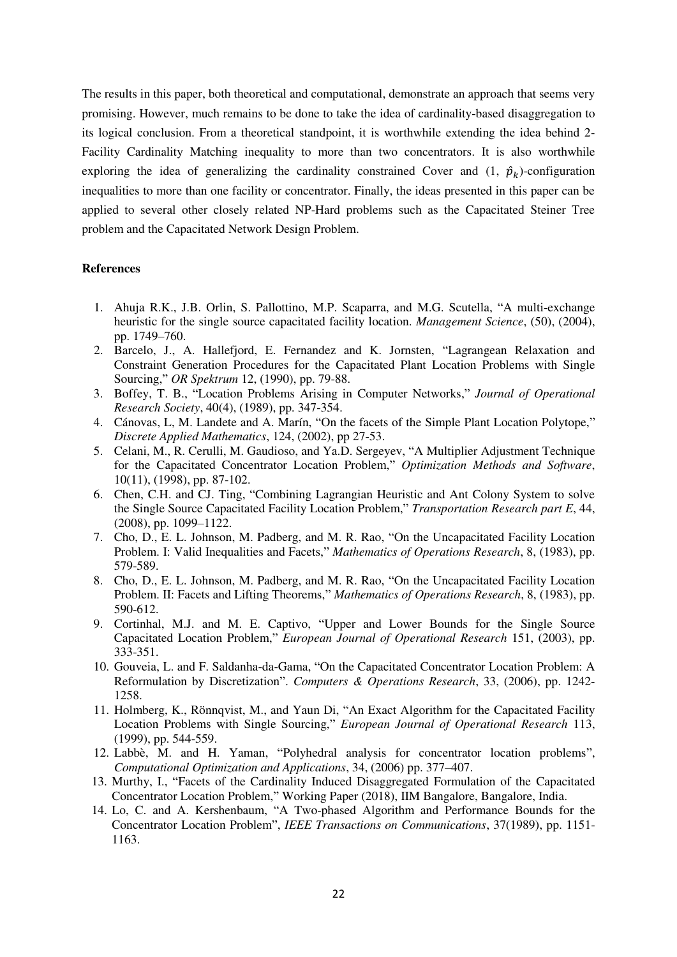The results in this paper, both theoretical and computational, demonstrate an approach that seems very promising. However, much remains to be done to take the idea of cardinality-based disaggregation to its logical conclusion. From a theoretical standpoint, it is worthwhile extending the idea behind 2- Facility Cardinality Matching inequality to more than two concentrators. It is also worthwhile exploring the idea of generalizing the cardinality constrained Cover and  $(1, \hat{p}_k)$ -configuration inequalities to more than one facility or concentrator. Finally, the ideas presented in this paper can be applied to several other closely related NP-Hard problems such as the Capacitated Steiner Tree problem and the Capacitated Network Design Problem.

## **References**

- 1. Ahuja R.K., J.B. Orlin, S. Pallottino, M.P. Scaparra, and M.G. Scutella, "A multi-exchange heuristic for the single source capacitated facility location. *Management Science*, (50), (2004), pp. 1749–760.
- 2. Barcelo, J., A. Hallefjord, E. Fernandez and K. Jornsten, "Lagrangean Relaxation and Constraint Generation Procedures for the Capacitated Plant Location Problems with Single Sourcing," *OR Spektrum* 12, (1990), pp. 79-88.
- 3. Boffey, T. B., "Location Problems Arising in Computer Networks," *Journal of Operational Research Society*, 40(4), (1989), pp. 347-354.
- 4. Cánovas, L, M. Landete and A. Marín, "On the facets of the Simple Plant Location Polytope," *Discrete Applied Mathematics*, 124, (2002), pp 27-53.
- 5. Celani, M., R. Cerulli, M. Gaudioso, and Ya.D. Sergeyev, "A Multiplier Adjustment Technique for the Capacitated Concentrator Location Problem," *Optimization Methods and Software*, 10(11), (1998), pp. 87-102.
- 6. Chen, C.H. and CJ. Ting, "Combining Lagrangian Heuristic and Ant Colony System to solve the Single Source Capacitated Facility Location Problem," *Transportation Research part E*, 44, (2008), pp. 1099–1122.
- 7. Cho, D., E. L. Johnson, M. Padberg, and M. R. Rao, "On the Uncapacitated Facility Location Problem. I: Valid Inequalities and Facets," *Mathematics of Operations Research*, 8, (1983), pp. 579-589.
- 8. Cho, D., E. L. Johnson, M. Padberg, and M. R. Rao, "On the Uncapacitated Facility Location Problem. II: Facets and Lifting Theorems," *Mathematics of Operations Research*, 8, (1983), pp. 590-612.
- 9. Cortinhal, M.J. and M. E. Captivo, "Upper and Lower Bounds for the Single Source Capacitated Location Problem," *European Journal of Operational Research* 151, (2003), pp. 333-351.
- 10. Gouveia, L. and F. Saldanha-da-Gama, "On the Capacitated Concentrator Location Problem: A Reformulation by Discretization". *Computers & Operations Research*, 33, (2006), pp. 1242- 1258.
- 11. Holmberg, K., Rönnqvist, M., and Yaun Di, "An Exact Algorithm for the Capacitated Facility Location Problems with Single Sourcing," *European Journal of Operational Research* 113, (1999), pp. 544-559.
- 12. Labbè, M. and H. Yaman, "Polyhedral analysis for concentrator location problems", *Computational Optimization and Applications*, 34, (2006) pp. 377–407.
- 13. Murthy, I., "Facets of the Cardinality Induced Disaggregated Formulation of the Capacitated Concentrator Location Problem," Working Paper (2018), IIM Bangalore, Bangalore, India.
- 14. Lo, C. and A. Kershenbaum, "A Two-phased Algorithm and Performance Bounds for the Concentrator Location Problem", *IEEE Transactions on Communications*, 37(1989), pp. 1151- 1163.